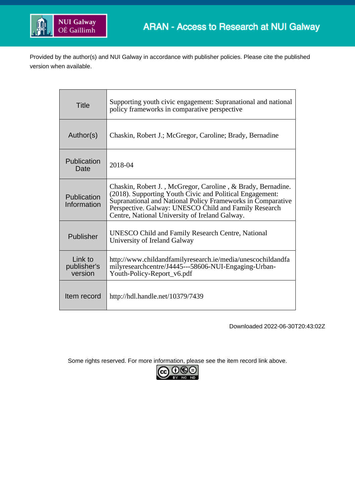

Provided by the author(s) and NUI Galway in accordance with publisher policies. Please cite the published version when available.

| <b>Title</b>                      | Supporting youth civic engagement: Supranational and national<br>policy frameworks in comparative perspective                                                                                                                                                                                     |
|-----------------------------------|---------------------------------------------------------------------------------------------------------------------------------------------------------------------------------------------------------------------------------------------------------------------------------------------------|
| Author(s)                         | Chaskin, Robert J.; McGregor, Caroline; Brady, Bernadine                                                                                                                                                                                                                                          |
| Publication<br>Date               | 2018-04                                                                                                                                                                                                                                                                                           |
| Publication<br>Information        | Chaskin, Robert J., McGregor, Caroline, & Brady, Bernadine.<br>(2018). Supporting Youth Civic and Political Engagement:<br>Supranational and National Policy Frameworks in Comparative<br>Perspective. Galway: UNESCO Child and Family Research<br>Centre, National University of Ireland Galway. |
| Publisher                         | <b>UNESCO Child and Family Research Centre, National</b><br>University of Ireland Galway                                                                                                                                                                                                          |
| Link to<br>publisher's<br>version | http://www.childandfamilyresearch.ie/media/unescochildandfa<br>milyresearchcentre/J4445---58606-NUI-Engaging-Urban-<br>Youth-Policy-Report_v6.pdf                                                                                                                                                 |
| Item record                       | http://hdl.handle.net/10379/7439                                                                                                                                                                                                                                                                  |

Downloaded 2022-06-30T20:43:02Z

Some rights reserved. For more information, please see the item record link above.

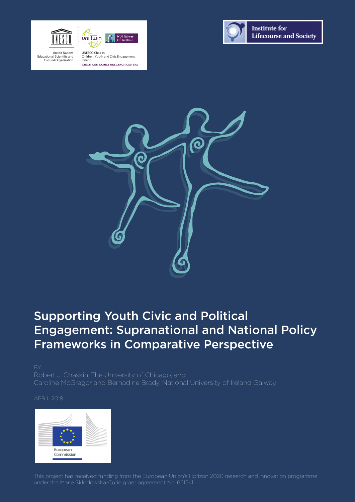



United Nations Educational, Scientific and Cultural Organization

UNESCO Chair in Children, Youth and Civic Engagement Ireland



**Institute for Lifecourse and Society** 



## Supporting Youth Civic and Political Engagement: Supranational and National Policy Frameworks in Comparative Perspective

Robert J. Chaskin, The University of Chicago, and Caroline McGregor and Bernadine Brady, National University of Ireland Galway

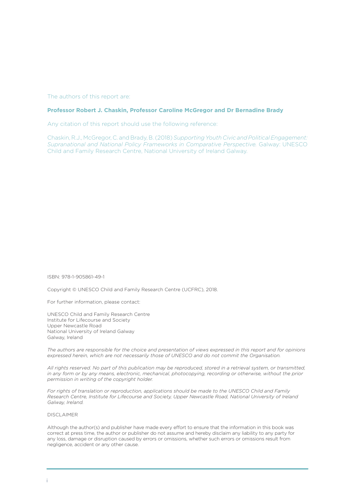#### The authors of this report are:

#### **Professor Robert J. Chaskin, Professor Caroline McGregor and Dr Bernadine Brady**

Any citation of this report should use the following reference:

Chaskin, R.J., McGregor, C. and Brady, B. (2018) *Supporting Youth Civic and Political Engagement: Supranational and National Policy Frameworks in Comparative Perspective.* Galway: UNESCO Child and Family Research Centre, National University of Ireland Galway.

ISBN: 978-1-905861-49-1

Copyright © UNESCO Child and Family Research Centre (UCFRC), 2018.

For further information, please contact:

UNESCO Child and Family Research Centre Institute for Lifecourse and Society Upper Newcastle Road National University of Ireland Galway Galway, Ireland

*The authors are responsible for the choice and presentation of views expressed in this report and for opinions expressed herein, which are not necessarily those of UNESCO and do not commit the Organisation.*

*All rights reserved. No part of this publication may be reproduced, stored in a retrieval system, or transmitted, in any form or by any means, electronic, mechanical, photocopying, recording or otherwise, without the prior permission in writing of the copyright holder.*

*For rights of translation or reproduction, applications should be made to the UNESCO Child and Family Research Centre, Institute for Lifecourse and Society, Upper Newcastle Road, National University of Ireland Galway, Ireland.*

DISCLAIMER

Although the author(s) and publisher have made every effort to ensure that the information in this book was correct at press time, the author or publisher do not assume and hereby disclaim any liability to any party for any loss, damage or disruption caused by errors or omissions, whether such errors or omissions result from negligence, accident or any other cause.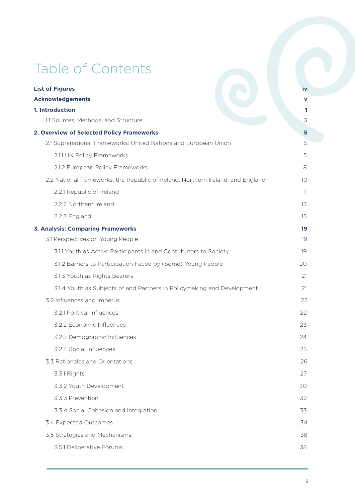# Table of Contents

| <b>List of Figures</b>                                                          | iv  |  |
|---------------------------------------------------------------------------------|-----|--|
| <b>Acknowledgements</b>                                                         |     |  |
| 1. Introduction                                                                 | 1.  |  |
| 1.1 Sources, Methods, and Structure                                             | 3   |  |
| 2. Overview of Selected Policy Frameworks                                       |     |  |
| 2.1 Supranational Frameworks: United Nations and European Union                 | 5   |  |
| 2.1.1 UN Policy Frameworks                                                      | 5   |  |
| 2.1.2 European Policy Frameworks                                                | 8   |  |
| 2.2 National frameworks: the Republic of Ireland, Northern Ireland, and England | 10  |  |
| 2.2.1 Republic of Ireland                                                       | -11 |  |
| 2.2.2 Northern Ireland                                                          | 13  |  |
| 2.2.3 England                                                                   | 15  |  |
| <b>3. Analysis: Comparing Frameworks</b>                                        | 19  |  |
| 3.1 Perspectives on Young People                                                | 19  |  |
| 3.1.1 Youth as Active Participants in and Contributors to Society               | 19  |  |
| 3.1.2 Barriers to Participation Faced by (Some) Young People                    | 20  |  |
| 3.1.3 Youth as Rights Bearers                                                   | 21  |  |
| 3.1.4 Youth as Subjects of and Partners in Policymaking and Development         | 21  |  |
| 3.2 Influences and Impetus                                                      | 22  |  |
| 3.2.1 Political Influences                                                      | 22  |  |
| 3.2.2 Economic Influences                                                       | 23  |  |
| 3.2.3 Demographic Influences                                                    | 24  |  |
| 3.2.4 Social Influences                                                         | 25  |  |
| 3.3 Rationales and Orientations                                                 | 26  |  |
| 3.3.1 Rights                                                                    | 27  |  |
| 3.3.2 Youth Development                                                         | 30  |  |
| 3.3.3 Prevention                                                                | 32  |  |
| 3.3.4 Social Cohesion and Integration                                           | 33  |  |
| 3.4 Expected Outcomes                                                           | 34  |  |
| 3.5 Strategies and Mechanisms                                                   | 38  |  |
| 3.5.1 Deliberative Forums                                                       | 38  |  |
|                                                                                 |     |  |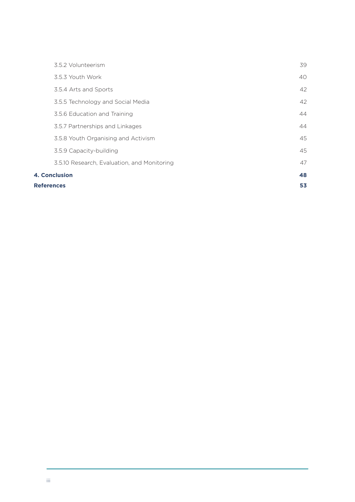| 3.5.2 Volunteerism                          | 39 |
|---------------------------------------------|----|
| 3.5.3 Youth Work                            | 40 |
| 3.5.4 Arts and Sports                       | 42 |
| 3.5.5 Technology and Social Media           | 42 |
| 3.5.6 Education and Training                | 44 |
| 3.5.7 Partnerships and Linkages             | 44 |
| 3.5.8 Youth Organising and Activism         | 45 |
| 3.5.9 Capacity-building                     | 45 |
| 3.5.10 Research, Evaluation, and Monitoring | 47 |
| <b>4. Conclusion</b>                        |    |
| <b>References</b>                           |    |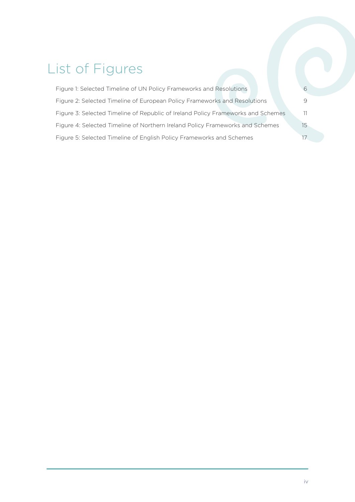## List of Figures

| Figure 1: Selected Timeline of UN Policy Frameworks and Resolutions              |    |
|----------------------------------------------------------------------------------|----|
| Figure 2: Selected Timeline of European Policy Frameworks and Resolutions        | 9  |
| Figure 3: Selected Timeline of Republic of Ireland Policy Frameworks and Schemes | 11 |
| Figure 4: Selected Timeline of Northern Ireland Policy Frameworks and Schemes    | 15 |
| Figure 5: Selected Timeline of English Policy Frameworks and Schemes             |    |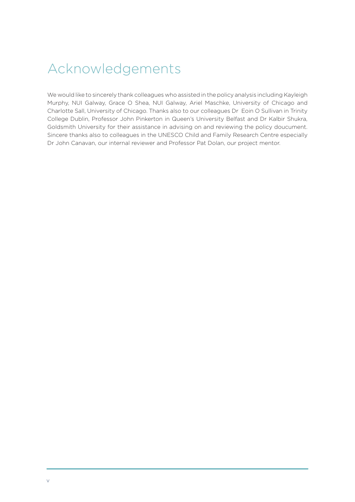## Acknowledgements

We would like to sincerely thank colleagues who assisted in the policy analysis including Kayleigh Murphy, NUI Galway, Grace O Shea, NUI Galway, Ariel Maschke, University of Chicago and Charlotte Sall, University of Chicago. Thanks also to our colleagues Dr Eoin O Sullivan in Trinity College Dublin, Professor John Pinkerton in Queen's University Belfast and Dr Kalbir Shukra, Goldsmith University for their assistance in advising on and reviewing the policy doucument. Sincere thanks also to colleagues in the UNESCO Child and Family Research Centre especially Dr John Canavan, our internal reviewer and Professor Pat Dolan, our project mentor.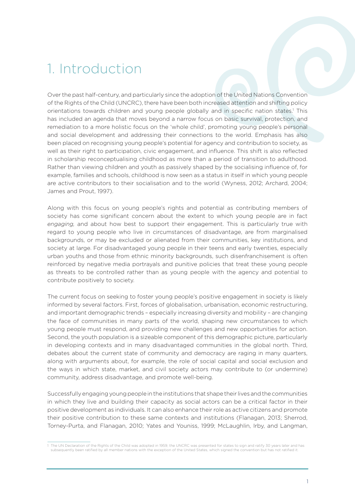## 1. Introduction

Over the past half-century, and particularly since the adoption of the United Nations Convention of the Rights of the Child (UNCRC), there have been both increased attention and shifting policy orientations towards children and young people globally and in specific nation states.<sup>1</sup> This has included an agenda that moves beyond a narrow focus on basic survival, protection, and remediation to a more holistic focus on the 'whole child', promoting young people's personal and social development and addressing their connections to the world. Emphasis has also been placed on recognising young people's potential for agency and contribution to society, as well as their right to participation, civic engagement, and influence. This shift is also reflected in scholarship reconceptualising childhood as more than a period of transition to adulthood. Rather than viewing children and youth as passively shaped by the socialising influence of, for example, families and schools, childhood is now seen as a status in itself in which young people are active contributors to their socialisation and to the world (Wyness, 2012; Archard, 2004; James and Prout, 1997).

Along with this focus on young people's rights and potential as contributing members of society has come significant concern about the extent to which young people are in fact *engaging,* and about how best to support their engagement. This is particularly true with regard to young people who live in circumstances of disadvantage, are from marginalised backgrounds, or may be excluded or alienated from their communities, key institutions, and society at large. For disadvantaged young people in their teens and early twenties, especially urban youths and those from ethnic minority backgrounds, such disenfranchisement is often reinforced by negative media portrayals and punitive policies that treat these young people as threats to be controlled rather than as young people with the agency and potential to contribute positively to society.

The current focus on seeking to foster young people's positive engagement in society is likely informed by several factors. First, forces of globalisation, urbanisation, economic restructuring, and important demographic trends – especially increasing diversity and mobility – are changing the face of communities in many parts of the world, shaping new circumstances to which young people must respond, and providing new challenges and new opportunities for action. Second, the youth population is a sizeable component of this demographic picture, particularly in developing contexts and in many disadvantaged communities in the global north. Third, debates about the current state of community and democracy are raging in many quarters, along with arguments about, for example, the role of social capital and social exclusion and the ways in which state, market, and civil society actors may contribute to (or undermine) community, address disadvantage, and promote well-being.

Successfully engaging young people in the institutions that shape their lives and the communities in which they live and building their capacity as social actors can be a critical factor in their positive development as individuals. It can also enhance their role as active citizens and promote their positive contribution to these same contexts and institutions (Flanagan, 2013; Sherrod, Torney-Purta, and Flanagan, 2010; Yates and Youniss, 1999; McLaughlin, Irby, and Langman,

<sup>1</sup> The UN Declaration of the Rights of the Child was adopted in 1959; the UNCRC was presented for states to sign and ratify 30 years later and has subsequently been ratified by all member nations with the exception of the United States, which signed the convention but has not ratified it.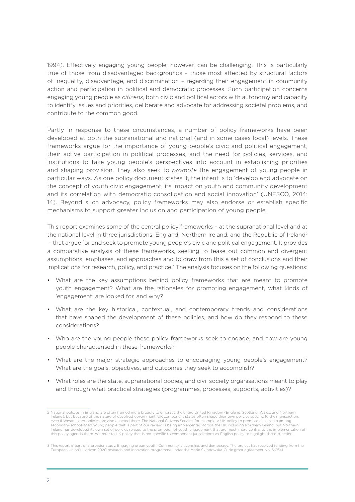1994). Effectively engaging young people, however, can be challenging. This is particularly true of those from disadvantaged backgrounds – those most affected by structural factors of inequality, disadvantage, and discrimination – regarding their engagement in community action and participation in political and democratic processes. Such participation concerns engaging young people as *citizens*, both civic and political actors with autonomy and capacity to identify issues and priorities, deliberate and advocate for addressing societal problems, and contribute to the common good.

Partly in response to these circumstances, a number of policy frameworks have been developed at both the supranational and national (and in some cases local) levels. These frameworks argue for the importance of young people's civic and political engagement, their active participation in political processes, and the need for policies, services, and institutions to take young people's perspectives into account in establishing priorities and shaping provision. They also seek to *promote* the engagement of young people in particular ways. As one policy document states it, the intent is to 'develop and advocate on the concept of youth civic engagement, its impact on youth and community development and its correlation with democratic consolidation and social innovation' (UNESCO, 2014: 14). Beyond such advocacy, policy frameworks may also endorse or establish specific mechanisms to support greater inclusion and participation of young people.

This report examines some of the central policy frameworks – at the supranational level and at the national level in three jurisdictions: England, Northern Ireland, and the Republic of Ireland<sup>2</sup> – that argue for and seek to promote young people's civic and political engagement. It provides a comparative analysis of these frameworks, seeking to tease out common and divergent assumptions, emphases, and approaches and to draw from this a set of conclusions and their implications for research, policy, and practice.<sup>3</sup> The analysis focuses on the following questions:

- What are the key assumptions behind policy frameworks that are meant to promote youth engagement? What are the rationales for promoting engagement, what kinds of 'engagement' are looked for, and why?
- What are the key historical, contextual, and contemporary trends and considerations that have shaped the development of these policies, and how do they respond to these considerations?
- Who are the young people these policy frameworks seek to engage, and how are young people characterised in these frameworks?
- What are the major strategic approaches to encouraging young people's engagement? What are the goals, objectives, and outcomes they seek to accomplish?
- What roles are the state, supranational bodies, and civil society organisations meant to play and through what practical strategies (programmes, processes, supports, activities)?

<sup>2</sup> National policies in England are often framed more broadly to embrace the entire United Kingdom (England, Scotland, Wales, and Northern Ireland), but because of the nature of devolved government, UK component states often shape their own policies specific to their jurisdiction, even if Westminster policies are also enacted there. The National Citizens Service, for example, a UK policy to promote citizenship among<br>secondary-school-aged young people that is part of our review, is being implemented Ireland has developed its own set of policies related to the promotion of youth engagement that are much more central to the implementation of this policy agenda there. We refer to UK policy that is not specific to component jurisdictions as English policy to highlight this distinction.

<sup>3</sup> This report is part of a broader study, Engaging urban youth: Community, citizenship, and democracy. The project has received funding from the European Union's Horizon 2020 research and innovation programme under the Marie Skłodowska-Curie grant agreement No. 661541.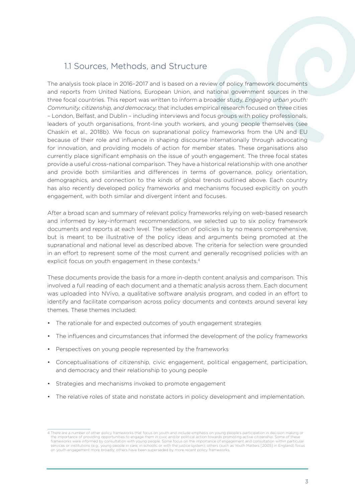### 1.1 Sources, Methods, and Structure

The analysis took place in 2016–2017 and is based on a review of policy framework documents and reports from United Nations, European Union, and national government sources in the three focal countries. This report was written to inform a broader study, *Engaging urban youth: Community, citizenship, and democracy,* that includes empirical research focused on three cities – London, Belfast, and Dublin – including interviews and focus groups with policy professionals, leaders of youth organisations, front-line youth workers, and young people themselves (see Chaskin et al., 2018b). We focus on supranational policy frameworks from the UN and EU because of their role and influence in shaping discourse internationally through advocating for innovation, and providing models of action for member states. These organisations also currently place significant emphasis on the issue of youth engagement. The three focal states provide a useful cross-national comparison. They have a historical relationship with one another and provide both similarities and differences in terms of governance, policy orientation, demographics, and connection to the kinds of global trends outlined above. Each country has also recently developed policy frameworks and mechanisms focused explicitly on youth engagement, with both similar and divergent intent and focuses.

After a broad scan and summary of relevant policy frameworks relying on web-based research and informed by key-informant recommendations, we selected up to six policy framework documents and reports at each level. The selection of policies is by no means comprehensive, but is meant to be illustrative of the policy ideas and arguments being promoted at the supranational and national level as described above. The criteria for selection were grounded in an effort to represent some of the most current and generally recognised policies with an explicit focus on youth engagement in these contexts.<sup>4</sup>

These documents provide the basis for a more in-depth content analysis and comparison. This involved a full reading of each document and a thematic analysis across them. Each document was uploaded into NVivo, a qualitative software analysis program, and coded in an effort to identify and facilitate comparison across policy documents and contexts around several key themes. These themes included:

- The rationale for and expected outcomes of youth engagement strategies
- The influences and circumstances that informed the development of the policy frameworks
- Perspectives on young people represented by the frameworks
- Conceptualisations of citizenship, civic engagement, political engagement, participation, and democracy and their relationship to young people
- Strategies and mechanisms invoked to promote engagement
- The relative roles of state and nonstate actors in policy development and implementation.

<sup>4</sup> There are a number of other policy frameworks that focus on youth and include emphasis on young people's participation in decision making or the importance of providing opportunities to engage them in civic and/or political action towards promoting active citizenship. Some of these frameworks were informed by consultation with young people. Some focus on the importance of engagement and consultation within particular services or institutions (e.g., young people in care, in schools, or with the justice system); others (such as Youth Matters [2005] in England) focus on youth engagement more broadly; others have been superseded by more recent policy frameworks.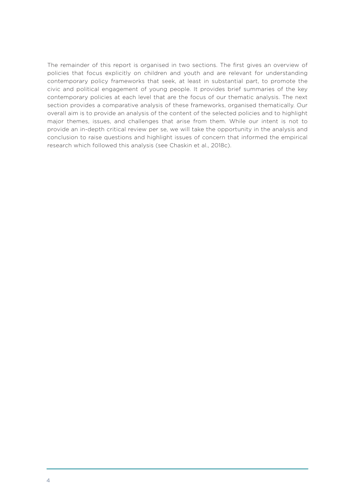The remainder of this report is organised in two sections. The first gives an overview of policies that focus explicitly on children and youth and are relevant for understanding contemporary policy frameworks that seek, at least in substantial part, to promote the civic and political engagement of young people. It provides brief summaries of the key contemporary policies at each level that are the focus of our thematic analysis. The next section provides a comparative analysis of these frameworks, organised thematically. Our overall aim is to provide an analysis of the content of the selected policies and to highlight major themes, issues, and challenges that arise from them. While our intent is not to provide an in-depth critical review per se, we will take the opportunity in the analysis and conclusion to raise questions and highlight issues of concern that informed the empirical research which followed this analysis (see Chaskin et al., 2018c).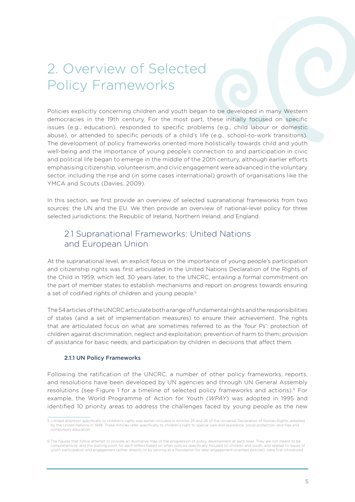## 2. Overview of Selected Policy Frameworks

Policies explicitly concerning children and youth began to be developed in many Western democracies in the 19th century. For the most part, these initially focused on specific issues (e.g., education), responded to specific problems (e.g., child labour or domestic abuse), or attended to specific periods of a child's life (e.g., school-to-work transitions). The development of policy frameworks oriented more holistically towards child and youth well-being and the importance of young people's connection to and participation in civic and political life began to emerge in the middle of the 20th century, although earlier efforts emphasising citizenship, volunteerism, and civic engagement were advanced in the voluntary sector, including the rise and (in some cases international) growth of organisations like the YMCA and Scouts (Davies, 2009).

In this section, we first provide an overview of selected supranational frameworks from two sources: the UN and the EU. We then provide an overview of national-level policy for three selected jurisdictions: the Republic of Ireland, Northern Ireland, and England.

### 2.1 Supranational Frameworks: United Nations and European Union

At the supranational level, an explicit focus on the importance of young people's participation and citizenship rights was first articulated in the United Nations Declaration of the Rights of the Child in 1959, which led, 30 years later, to the UNCRC, entailing a formal commitment on the part of member states to establish mechanisms and report on progress towards ensuring a set of codified rights of children and young people.<sup>5</sup>

The 54 articles of the UNCRC articulate both a range of fundamental rights and the responsibilities of states (and a set of implementation measures) to ensure their achievement. The rights that are articulated focus on what are sometimes referred to as the 'four Ps': protection of children against discrimination, neglect and exploitation; prevention of harm to them; provision of assistance for basic needs; and participation by children in decisions that affect them.

#### 2.1.1 UN Policy Frameworks

Following the ratification of the UNCRC, a number of other policy frameworks, reports, and resolutions have been developed by UN agencies and through UN General Assembly resolutions (see Figure 1 for a timeline of selected policy frameworks and actions).<sup>6</sup> For example, the World Programme of Action for Youth (*WPAY*) was adopted in 1995 and identified 10 priority areas to address the challenges faced by young people as the new

<sup>5</sup> Limited attention specifically to children's rights was earlier included in Articles 25 and 26 of the Universal Declaration of Human Rights, adopted by the United Nations in 1948. These Articles refer specifically to children's right to special care and assistance, social protection, and free and compulsory education.

<sup>6</sup> The figures that follow attempt to provide an illustrative map of the progression of policy development at each level. They are not meant to be comprehensive, and the starting point for each differs based on when policies specifically focused on children and youth, and related to issues of youth participation and engagement (either directly or by serving as a foundation for later engagement-oriented policies), were first introduced.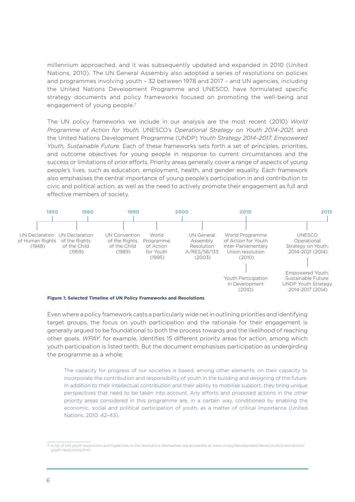millennium approached, and it was subsequently updated and expanded in 2010 (United Nations, 2010). The UN General Assembly also adopted a series of resolutions on policies and programmes involving youth – 32 between 1978 and 2017 – and UN agencies, including the United Nations Development Programme and UNESCO, have formulated specific strategy documents and policy frameworks focused on promoting the well-being and engagement of young people.<sup>7</sup>

The UN policy frameworks we include in our analysis are the most recent (2010) *World Programme of Action for Youth,* UNESCO's *Operational Strategy on Youth 2014–2021,* and the United Nations Development Programme (UNDP) *Youth Strategy 2014–2017, Empowered Youth, Sustainable Future.* Each of these frameworks sets forth a set of principles, priorities, and outcome objectives for young people in response to current circumstances and the success or limitations of prior efforts. Priority areas generally cover a range of aspects of young people's lives, such as education, employment, health, and gender equality. Each framework also emphasises the central importance of young people's participation in and contribution to civic and political action, as well as the need to actively promote their engagement as full and effective members of society.



Even where a policy framework casts a particularly wide net in outlining priorities and identifying target groups, the focus on youth participation and the rationale for their engagement is **1990 2000 2010 2020** generally argued to be foundational to both the process towards and the likelihood of reaching other goals. *WPAY*, for example, identifies 15 different priority areas for action, among which youth participation is listed tenth. But the document emphasises participation as undergirding the programme as a whole: Children Children European Youth  $\overline{C}$  as a writer

> The capacity for progress of our societies is based, among other elements, on their capacity to incorporate the contribution and responsibility of youth in the building and designing of the future. In addition to their intellectual contribution and their ability to mobilise support, they bring unique perspectives that need to be taken into account. Any efforts and proposed actions in the other priority areas considered in this programme are, in a certain way, conditioned by enabling the economic, social and political participation of youth, as a matter of critical importance (United Nations, 2010: 42-43). Society (European  $\in$  on their conocity to  $\frac{201}{2}$ vunt. Any enorts and p

National Strategy on Children

<sup>7</sup> A list of UN youth resolutions and hyperlinks to the resolutions themselves are accessible at www.un.org/development/desa/youth/publications/ National National youth-resolutions.html. yorutuono unun<br>nl. n<br>National Youthwestern Wilson wo to the resolutions the Better Outcomes, bessible at www.am.org n<br>National Angeles Angeles Array stophiche acsay your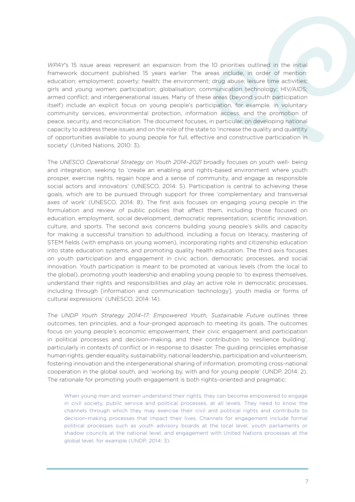*WPAY*'s 15 issue areas represent an expansion from the 10 priorities outlined in the initial framework document published 15 years earlier. The areas include, in order of mention: education; employment; poverty; health; the environment; drug abuse; leisure time activities; girls and young women; participation; globalisation; communication technology; HIV/AIDS; armed conflict; and intergenerational issues. Many of these areas (beyond youth participation itself) include an explicit focus on young people's participation, for example, in voluntary community services, environmental protection, information access, and the promotion of peace, security, and reconciliation. The document focuses, in particular, on developing national capacity to address these issues and on the role of the state to 'increase the quality and quantity of opportunities available to young people for full, effective and constructive participation in society' (United Nations, 2010: 3).

The *UNESCO Operational Strategy on Youth 2014–2021* broadly focuses on youth well- being and integration, seeking to 'create an enabling and rights-based environment where youth prosper, exercise rights, regain hope and a sense of community, and engage as responsible social actors and innovators' (UNESCO, 2014: 5). Participation is central to achieving these goals, which are to be pursued through support for three 'complementary and transversal axes of work' (UNESCO, 2014: 8). The first axis focuses on engaging young people in the formulation and review of public policies that affect them, including those focused on education, employment, social development, democratic representation, scientific innovation, culture, and sports. The second axis concerns building young people's skills and capacity for making a successful transition to adulthood, including a focus on literacy, mastering of STEM fields (with emphasis on young women), incorporating rights and citizenship education into state education systems, and promoting quality health education. The third axis focuses on youth participation and engagement in civic action, democratic processes, and social innovation. Youth participation is meant to be promoted at various levels (from the local to the global), promoting youth leadership and enabling young people to 'to express themselves, understand their rights and responsibilities and play an active role in democratic processes, including through [information and communication technology], youth media or forms of cultural expressions' (UNESCO, 2014: 14).

The *UNDP Youth Strategy 2014–17: Empowered Youth, Sustainable Future* outlines three outcomes, ten principles, and a four-pronged approach to meeting its goals. The outcomes focus on young people's economic empowerment, their civic engagement and participation in political processes and decision-making, and their contribution to 'resilience building', particularly in contexts of conflict or in response to disaster. The guiding principles emphasise human rights, gender equality, sustainability, national leadership, participation and volunteerism, fostering innovation and the intergenerational sharing of information, promoting cross-national cooperation in the global south, and 'working by, with and for young people' (UNDP, 2014: 2). The rationale for promoting youth engagement is both rights-oriented and pragmatic:

When young men and women understand their rights, they can become empowered to engage in civil society, public service and political processes, at all levels. They need to know the channels through which they may exercise their civil and political rights and contribute to decision-making processes that impact their lives. Channels for engagement include formal political processes such as youth advisory boards at the local level, youth parliaments or shadow councils at the national level, and engagement with United Nations processes at the global level, for example (UNDP, 2014: 3).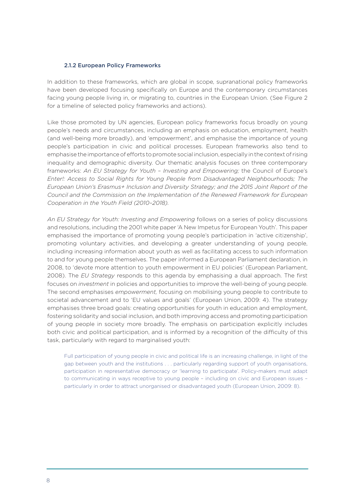#### 2.1.2 European Policy Frameworks

In addition to these frameworks, which are global in scope, supranational policy frameworks have been developed focusing specifically on Europe and the contemporary circumstances facing young people living in, or migrating to, countries in the European Union. (See Figure 2 for a timeline of selected policy frameworks and actions).

Like those promoted by UN agencies, European policy frameworks focus broadly on young people's needs and circumstances, including an emphasis on education, employment, health (and well-being more broadly), and 'empowerment', and emphasise the importance of young people's participation in civic and political processes. European frameworks also tend to emphasise the importance of efforts to promote social inclusion, especially in the context of rising inequality and demographic diversity. Our thematic analysis focuses on three contemporary frameworks: *An EU Strategy for Youth – Investing and Empowering;* the Council of Europe's *Enter!: Access to Social Rights for Young People from Disadvantaged Neighbourhoods; The European Union's Erasmus+ Inclusion and Diversity Strategy; and the 2015 Joint Report of the Council and the Commission on the Implementation of the Renewed Framework for European Cooperation in the Youth Field (2010–2018).*

*An EU Strategy for Youth: Investing and Empowering* follows on a series of policy discussions and resolutions, including the 2001 white paper 'A New Impetus for European Youth'. This paper emphasised the importance of promoting young people's participation in 'active citizenship', promoting voluntary activities, and developing a greater understanding of young people, including increasing information about youth as well as facilitating access to such information to and for young people themselves. The paper informed a European Parliament declaration, in 2008, to 'devote more attention to youth empowerment in EU policies' (European Parliament, 2008). The *EU Strategy* responds to this agenda by emphasising a dual approach. The first focuses on *investment* in policies and opportunities to improve the well-being of young people. The second emphasises *empowerment,* focusing on mobilising young people to contribute to societal advancement and to 'EU values and goals' (European Union, 2009: 4). The strategy emphasises three broad goals: creating opportunities for youth in education and employment, fostering solidarity and social inclusion, and both improving access and promoting participation of young people in society more broadly. The emphasis on participation explicitly includes both civic and political participation, and is informed by a recognition of the difficulty of this task, particularly with regard to marginalised youth:

Full participation of young people in civic and political life is an increasing challenge, in light of the gap between youth and the institutions . . . particularly regarding support of youth organisations, participation in representative democracy or 'learning to participate'. Policy-makers must adapt to communicating in ways receptive to young people – including on civic and European issues – particularly in order to attract unorganised or disadvantaged youth (European Union, 2009: 8).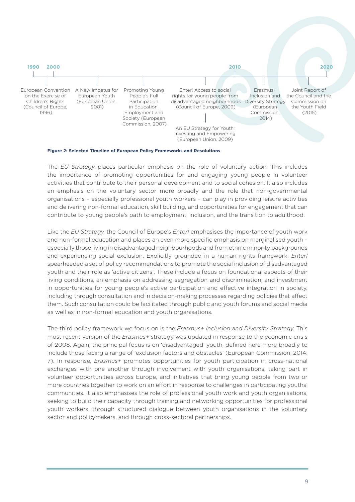

**Figure 2: Selected Timeline of European Policy Frameworks and Resolutions**

The *EU Strategy* places particular emphasis on the role of voluntary action. This includes **2000 2010 2020**the importance of promoting opportunities for and engaging young people in volunteer activities that contribute to their personal development and to social cohesion. It also includes an emphasis on the voluntary sector more broadly and the role that non-governmental organisations - especially professional youth workers - can play in providing leisure activities and delivering non-formal education, skill building, and opportunities for engagement that can contribute to young people's path to employment, inclusion, and the transition to adulthood. an empnas National on the v National Youth work development Better Outcomes, ary and the re National Youth that non-go

Like the *EU Strategy,* the Council of Europe's *Enter!* emphasises the importance of youth work and non-formal education and places an even more specific emphasis on marginalised youth – especially those living in disadvantaged neighbourhoods and from ethnic minority backgrounds and experiencing social exclusion. Explicitly grounded in a human rights framework, *Enter!*  spearheaded a set of policy recommendations to promote the social inclusion of disadvantaged **1970 1990 2000 2010 2015** youth and their role as 'active citizens'. These include a focus on foundational aspects of their living conditions, an emphasis on addressing segregation and discrimination, and investment in opportunities for young people's active participation and effective integration in society, including through consultation and in decision-making processes regarding policies that affect them. Such consultation could be facilitated through public and youth forums and social media as well as in non-formal education and youth organisations. uuniy Order (1989) (Northern and in decis Young People: i i-making proces a United Community uniy k Youth (2013)

The third policy framework we focus on is the *Erasmus+ Inclusion and Diversity Strategy.* This most recent version of the *Erasmus+* strategy was updated in response to the economic crisis of 2008. Again, the principal focus is on 'disadvantaged' youth, defined here more broadly to **1950 1990 2000 2010 2020** include those facing a range of 'exclusion factors and obstacles' (European Commission, 2014: 7). In response, *Erasmus+* promotes opportunities for youth participation in cross-national exchanges with one another through involvement with youth organisations, taking part in volunteer opportunities across Europe, and initiatives that bring young people from two or more countries together to work on an effort in response to challenges in participating youths' communities. It also emphasises the role of professional youth work and youth organisations, seeking to build their capacity through training and networking opportunities for professional youth workers, through structured dialogue between youth organisations in the voluntary sector and policymakers, and through cross-sectoral partnerships. yss Europe, d Matters ta init (2006, 2011) the Number oring young pe  $\sim$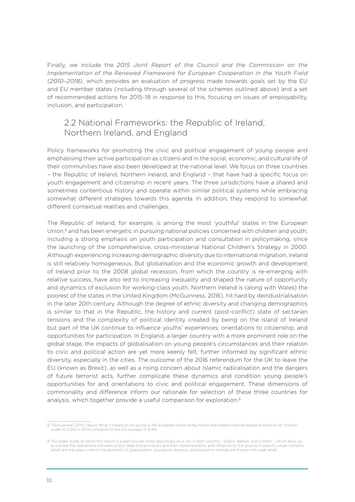Finally, we include the *2015 Joint Report of the Council and the Commission on the Implementation of the Renewed Framework for European Cooperation in the Youth Field (2010–2018),* which provides an evaluation of progress made towards goals set by the EU and EU member states (including through several of the schemes outlined above) and a set of recommended actions for 2015–18 in response to this, focusing on issues of employability, inclusion, and participation.

### 2.2 National Frameworks: the Republic of Ireland, Northern Ireland, and England

Policy frameworks for promoting the civic and political engagement of young people and emphasising their active participation as citizens and in the social, economic, and cultural life of their communities have also been developed at the national level. We focus on three countries – the Republic of Ireland, Northern Ireland, and England – that have had a specific focus on youth engagement and citizenship in recent years. The three jurisdictions have a shared and sometimes contentious history and operate within similar political systems while embracing somewhat different strategies towards this agenda. In addition, they respond to somewhat different contextual realities and challenges.

The Republic of Ireland, for example, is among the most 'youthful' states in the European Union,<sup>8</sup> and has been energetic in pursuing national policies concerned with children and youth, including a strong emphasis on youth participation and consultation in policymaking, since the launching of the comprehensive, cross-ministerial National Children's Strategy in 2000. Although experiencing increasing demographic diversity due to international migration, Ireland is still relatively homogeneous. But globalisation and the economic growth and development of Ireland prior to the 2008 global recession, from which the country is re-emerging with relative success, have also led to increasing inequality and shaped the nature of opportunity and dynamics of exclusion for working-class youth. Northern Ireland is (along with Wales) the poorest of the states in the United Kingdom (McGuinness, 2016), hit hard by deindustrialisation in the later 20th century. Although the degree of ethnic diversity and changing demographics is similar to that in the Republic, the history and current (post-conflict) state of sectarian tensions and the complexity of political identity created by being on the island of Ireland but part of the UK continue to influence youths' experiences, orientations to citizenship, and opportunities for participation. In England, a larger country with a more prominent role on the global stage, the impacts of globalisation on young people's circumstances and their relation to civic and political action are yet more keenly felt, further informed by significant ethnic diversity, especially in the cities. The outcome of the 2016 referendum for the UK to leave the EU (known as Brexit), as well as a rising concern about Islamic radicalisation and the dangers of future terrorist acts, further complicate these dynamics and condition young people's opportunities for and orientations to civic and political engagement. These dimensions of commonality and difference inform our rationale for selection of these three countries for analysis, which together provide a useful comparison for exploration.<sup>9</sup>

<sup>8</sup> The Eurostat (2015) report What it means to be young in the European Union today found that Ireland had the largest proportion of children under 15 (22%) in 2014 compared to the EU average of 15.6%.

<sup>9</sup> The larger study of which this report is a part focuses more specifically on a city in each country – Dublin, Belfast, and London – which allow us to explore the relationship between policy ideas and provisions and their implementation and influence on the ground in specific urban contexts, which are the sites in which the dynamics of globalisation, population diversity, and economic change are thrown into clear relief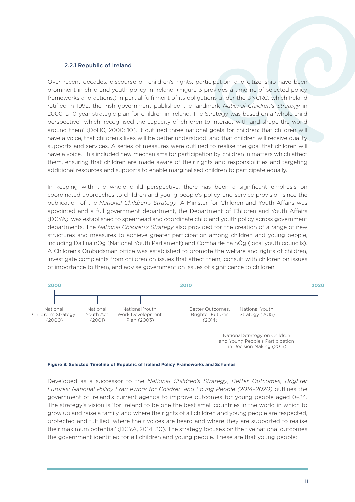#### 2.2.1 Republic of Ireland

Over recent decades, discourse on children's rights, participation, and citizenship have been **1950 1960 1990 2000 2010 2015** prominent in child and youth policy in Ireland. (Figure 3 provides a timeline of selected policy frameworks and actions.) In partial fulfilment of its obligations under the UNCRC, which Ireland ratified in 1992, the Irish government published the landmark *National Children's Strategy* in 2000, a 10-year strategic plan for children in Ireland. The Strategy was based on a 'whole child perspective', which 'recognised the capacity of children to interact with and shape the world around them' (DoHC, 2000: 10). It outlined three national goals for children: that children will have a voice, that children's lives will be better understood, and that children will receive quality supports and services. A series of measures were outlined to realise the goal that children will eapperto and service. This included new mechanisms for participation by children in matters which affect have a voice. This included new mechanisms for participation by children in matters which affect them, ensuring that children are made aware of their rights and responsibilities and targeting additional resources and supports to enable marginalised children to participate equally. UN DECIMENT DECIMENT DE capad A/RES/58/133 (*aren* τα  $U$   $\sim$   $\sim$   $\sim$ with a  $20.202$ ren in l undred youth strategy and the strategy of the strategy of the strategy of the strategy of the strategy of the strategy of the strategy of the strategy of the strategy of the strategy of the strategy of the strategy of the :n arrect

In keeping with the whole child perspective, there has been a significant emphasis on coordinated approaches to children and young people's policy and service provision since the publication of the *National Children's Strategy*. A Minister for Children and Youth Affairs was appointed and a full government department, the Department of Children and Youth Affairs (DCYA), was established to spearhead and coordinate child and youth policy across government departments. The *National Children's Strategy* also provided for the creation of a range of new structures and measures to achieve greater participation among children and young people, including Dáil na nÓg (National Youth Parliament) and Comhairle na nÓg (local youth councils). A Children's Ombudsman office was established to promote the welfare and rights of children, investigate complaints from children on issues that affect them, consult with children on issues of importance to them, and advise government on issues of significance to children. (Compared to Europe) and the Europe of Europe substitution of Europe and the Europe substitution of Europe sub (European Union) ne *r*v Participation niaren s Str Onar fouth Parlia disadvantaged neighborhoods and disadvantaged neighborhoods and disadvantaged neighborhoods and disadvantaged<br>Anders anders anders anders anders anders anders anders anders anders anders anders anders anders anders ander also provided for the Commission on of new diversity Strategy Strategy Strategy Strategy Strategy Strategy Strategy Strategy Strategy Strategy Strategy S on or a ra 2014) that affect them, cor





Developed as a successor to the *National Children's Strategy*, *Better Outcomes, Brighter Futures: National Policy Framework for Children and Young People (2014–2020)* outlines the **1970 1990 2000 2010 2015** government of Ireland's current agenda to improve outcomes for young people aged 0–24. The strategy's vision is 'for Ireland to be one the best small countries in the world in which to grow up and raise a family, and where the rights of all children and young people are respected, protected and fulfilled; where their voices are heard and where they are supported to realise .<br>their maximum potential' (DCYA, 2014: 20). The strategy focuses on the five national outcomes . the government identified for all children and young people. These are that young people:

**1950 1990 2000 2010 2020**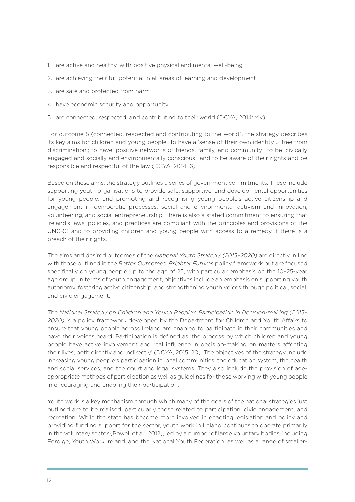- 1. are active and healthy, with positive physical and mental well-being
- 2. are achieving their full potential in all areas of learning and development
- 3. are safe and protected from harm
- 4. have economic security and opportunity
- 5. are connected, respected, and contributing to their world (DCYA, 2014: xiv).

For outcome 5 (connected, respected and contributing to the world), the strategy describes its key aims for children and young people: To have a 'sense of their own identity … free from discrimination'; to have 'positive networks of friends, family, and community'; to be 'civically engaged and socially and environmentally conscious'; and to be aware of their rights and be responsible and respectful of the law (DCYA, 2014: 6).

Based on these aims, the strategy outlines a series of government commitments. These include supporting youth organisations to provide safe, supportive, and developmental opportunities for young people; and promoting and recognising young people's active citizenship and engagement in democratic processes, social and environmental activism and innovation, volunteering, and social entrepreneurship. There is also a stated commitment to ensuring that Ireland's laws, policies, and practices are compliant with the principles and provisions of the UNCRC and to providing children and young people with access to a remedy if there is a breach of their rights.

The aims and desired outcomes of the *National Youth Strategy (2015–2020)* are directly in line with those outlined in the *Better Outcomes, Brighter Futures* policy framework but are focused specifically on young people up to the age of 25, with particular emphasis on the 10-25-year age group. In terms of youth engagement, objectives include an emphasis on supporting youth autonomy, fostering active citizenship, and strengthening youth voices through political, social, and civic engagement.

The *National Strategy on Children and Young People's Participation in Decision-making (2015– 2020)* is a policy framework developed by the Department for Children and Youth Affairs to ensure that young people across Ireland are enabled to participate in their communities and have their voices heard. Participation is defined as 'the process by which children and young people have active involvement and real influence in decision-making on matters affecting their lives, both directly and indirectly' (DCYA, 2015: 20). The objectives of the strategy include increasing young people's participation in local communities, the education system, the health and social services, and the court and legal systems. They also include the provision of ageappropriate methods of participation as well as guidelines for those working with young people in encouraging and enabling their participation.

Youth work is a key mechanism through which many of the goals of the national strategies just outlined are to be realised, particularly those related to participation, civic engagement, and recreation. While the state has become more involved in enacting legislation and policy and providing funding support for the sector, youth work in Ireland continues to operate primarily in the voluntary sector (Powell et al., 2012), led by a number of large voluntary bodies, including Foróige, Youth Work Ireland, and the National Youth Federation, as well as a range of smaller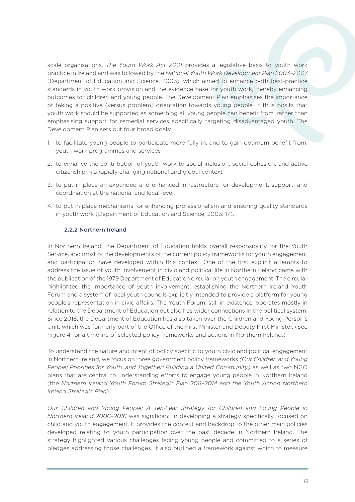scale organisations. *The Youth Work Act 2001* provides a legislative basis to youth work practice in Ireland and was followed by the *National Youth Work Development Plan 2003–2007* (Department of Education and Science, 2003), which aimed to enhance both best-practice standards in youth work provision and the evidence base for youth work, thereby enhancing outcomes for children and young people. The Development Plan emphasises the importance of taking a positive (versus problem) orientation towards young people. It thus posits that youth work should be supported as something all young people can benefit from, rather than emphasising support for remedial services specifically targeting disadvantaged youth. The Development Plan sets out four broad goals:

- 1. to facilitate young people to participate more fully in, and to gain optimum benefit from, youth work programmes and services
- 2. to enhance the contribution of youth work to social inclusion, social cohesion, and active citizenship in a rapidly changing national and global context
- 3. to put in place an expanded and enhanced infrastructure for development, support, and coordination at the national and local level
- 4. to put in place mechanisms for enhancing professionalism and ensuring quality standards in youth work (Department of Education and Science, 2003: 17).

#### 2.2.2 Northern Ireland

In Northern Ireland, the Department of Education holds overall responsibility for the Youth Service, and most of the developments of the current policy frameworks for youth engagement and participation have developed within this context. One of the first explicit attempts to address the issue of youth involvement in civic and political life in Northern Ireland came with the publication of the 1979 Department of Education circular on youth engagement. The circular highlighted the importance of youth involvement, establishing the Northern Ireland Youth Forum and a system of local youth councils explicitly intended to provide a platform for young people's representation in civic affairs. The Youth Forum, still in existence, operates mostly in relation to the Department of Education but also has wider connections in the political system. Since 2016, the Department of Education has also taken over the Children and Young Person's Unit, which was formerly part of the Office of the First Minister and Deputy First Minister. (See Figure 4 for a timeline of selected policy frameworks and actions in Northern Ireland.)

To understand the nature and intent of policy specific to youth civic and political engagement in Northern Ireland, we focus on three government policy frameworks *(Our Children and Young People; Priorities for Youth; and Together: Building a United Community)* as well as two NGO plans that are central to understanding efforts to engage young people in Northern Ireland (the *Northern Ireland Youth Forum Strategic Plan 2011–2014 and the Youth Action Northern Ireland Strategic Plan).*

*Our Children and Young People: A Ten-Year Strategy for Children and Young People in Northern Ireland 2006–2016* was significant in developing a strategy specifically focused on child and youth engagement. It provides the context and backdrop to the other main policies developed relating to youth participation over the past decade in Northern Ireland. The strategy highlighted various challenges facing young people and committed to a series of pledges addressing those challenges. It also outlined a framework against which to measure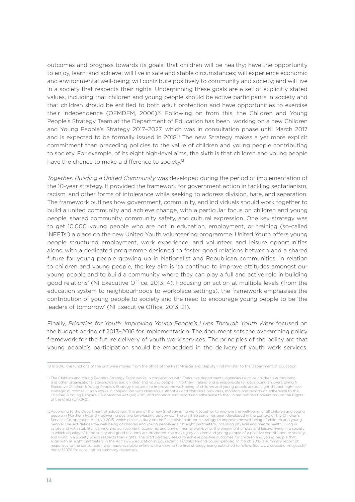outcomes and progress towards its goals: that children will be healthy; have the opportunity to enjoy, learn, and achieve; will live in safe and stable circumstances; will experience economic and environmental well-being; will contribute positively to community and society; and will live in a society that respects their rights. Underpinning these goals are a set of explicitly stated values, including that children and young people should be active participants in society and that children should be entitled to both adult protection and have opportunities to exercise their independence (OFMDFM, 2006).<sup>10</sup> Following on from this, the Children and Young People's Strategy Team at the Department of Education has been working on a new Children and Young People's Strategy 2017–2027, which was in consultation phase until March 2017 and is expected to be formally issued in 2018.<sup>11</sup> The new Strategy makes a yet more explicit commitment than preceding policies to the value of children and young people contributing to society. For example, of its eight high-level aims, the sixth is that children and young people have the chance to make a difference to society.<sup>12</sup>

*Together: Building a United Community* was developed during the period of implementation of the 10-year strategy. It provided the framework for government action in tackling sectarianism, racism, and other forms of intolerance while seeking to address division, hate, and separation. The framework outlines how government, community, and individuals should work together to build a united community and achieve change, with a particular focus on children and young people, shared community, community safety, and cultural expression. One key strategy was to get 10,000 young people who are not in education, employment, or training (so-called 'NEETs') a place on the new United Youth volunteering programme. United Youth offers young people structured employment, work experience, and volunteer and leisure opportunities along with a dedicated programme designed to foster good relations between and a shared future for young people growing up in Nationalist and Republican communities. In relation to children and young people, the key aim is 'to continue to improve attitudes amongst our young people and to build a community where they can play a full and active role in building good relations' (NI Executive Office, 2013: 4). Focusing on action at multiple levels (from the education system to neighbourhoods to workplace settings), the framework emphasises the contribution of young people to society and the need to encourage young people to be 'the leaders of tomorrow' (NI Executive Office, 2013: 21).

Finally, *Priorities for Youth: Improving Young People's Lives Through Youth Work* focused on the budget period of 2013–2016 for implementation. The document sets the overarching policy framework for the future delivery of youth work services. The principles of the policy are that young people's participation should be embedded in the delivery of youth work services.

<sup>10</sup> In 2016, the functions of the unit were moved from the office of the First Minister and Deputy First Minister to the Department of Education.

<sup>11</sup> The Children and Young People's Strategy Team works in cooperation with Executive departments, agencies (such as children's authorities) and other organisational stakeholders, and children and young people in Northern Ireland and is responsible for developing an overarching NI Executive Children & Young People's Strategy that aims to improve the well-being of children and young people across eight distinct high-level strategic outcomes. It also works in conjunction with children's authorities and children's providers, monitors and reports on adherence to the Children & Young People's Co-operation Act (NI) 2015, and monitors and reports on adherence to the United Nations Conventions on the Rights of the Child (UNCRC).

<sup>12</sup>According to the Department of Education: 'the aim of the new Strategy is "to work together to improve the well-being of all children and young people in Northern Ireland – delivering positive long-lasting outcomes." The draft Strategy has been developed in the context of the Children's<br>Services Co-operation Act (NI) 2015, which places a duty on the Executive to a people. The Act defines the well-being of children and young people against eight parameters, including physical and mental health; living in safety and with stability; learning and achievement; economic and environmental well-being; the enjoyment of play and leisure; living in a society in which equality of opportunity and good relations are promoted; the making by children and young people of a positive contribution to society; and living in a society which respects their rights. The draft Strategy seeks to achieve positive outcomes for children and young people that alien with all eight parameters in the Act' (www.education-ni.gov.uk/articles/ch align with all eight parameters in the Act' (www.education-ni.gov.uk/articles/children-and-young-people). In March 2018, a summary reported to the Act' (www.education-ni.gov.uk/articles/children-and-young-people). In March responses to the consultation was made available online with a view to the final strategy being published to follow. See www.education-ni.gov.uk/ node/32976 for consultation summary responses.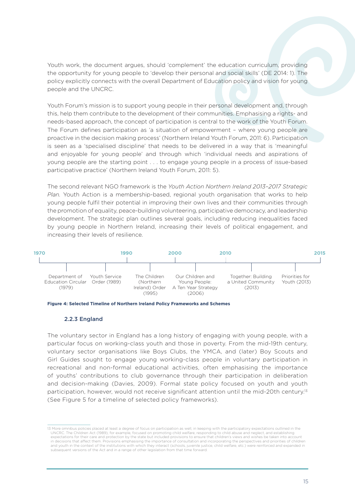Youth work, the document argues, should 'complement' the education curriculum, providing the opportunity for young people to 'develop their personal and social skills' (DE 2014: 1). The policy explicitly connects with the overall Department of Education policy and vision for young people and the UNCRC. people European Youth I LHE UNURU. ment of Education rights for young people from nd vision for voung the Council and the

Youth Forum's mission is to support young people in their personal development and, through this, help them contribute to the development of their communities. Emphasising a rights- and and, neep arem senarisate to the acceptoment of their communities. Emphasismig a rights candidate. The Forum defines participation as 'a situation of empowerment - where young people are proactive in the decision making process' (Northern Ireland Youth Forum, 2011: 6). Participation is seen as a 'specialised discipline' that needs to be delivered in a way that is 'meaningful and enjoyable for young people' and through which 'individual needs and aspirations of **2000 2010 2020**young people are the starting point . . . to engage young people in a process of issue-based participative practice' (Northern Ireland Youth Forum, 2011: 5). support young (2015) Commission, 2014) pation is central to the f

The second relevant NGO framework is the *Youth Action Northern Ireland 2013-2017 Strategic Plan.* Youth Action is a membership-based, regional youth organisation that works to help young people fulfil their potential in improving their own lives and their communities through the promotion of equality, peace-building volunteering, participative democracy, and leadership development. The strategic plan outlines several goals, including reducing inequalities faced by young people in Northern Ireland, increasing their levels of political engagement, and increasing their levels of resilience. rne se Youth Act yant P Work Development mework is Brighter Futures *INO*rti Strategy (2015)  $\sim$  alone of apy, and foat



**Figure 4: Selected Timeline of Northern Ireland Policy Frameworks and Schemes**

#### 2.2.3 England

The voluntary sector in England has a long history of engaging with young people, with a **1950 1990 2000 2010 2020** particular focus on working-class youth and those in poverty. From the mid-19th century, voluntary sector organisations like Boys Clubs, the YMCA, and (later) Boy Scouts and Girl Guides sought to engage young working-class people in voluntary participation in recreational and non-formal educational activities, often emphasising the importance of youths' contributions to club governance through their participation in deliberation or youthour continuations to olds governance through them participation in democration participation, however, would not receive significant attention until the mid-20th century.<sup>13</sup> (See Figure 5 for a timeline of selected policy frameworks). Council (1948) Chides son Uurucs sor  $+$   $\sim$  $R_{\text{R}}$ e young arlin. matan di ka Prevent (2006, 2011) PSA 14: Increasing the Volume  $\pm$ iojn s $\pm$ ion *<u><u>UCIpation</u>*</u>

<sup>13</sup> More omnibus policies placed at least a degree of focus on participation as well, in keeping with the participatory expectations outlined in the UNCRC. The Children Act (1989), for example, focused on promoting child welfare, responding to child abuse and neglect, and establishing expectations for their care and protection by the state but included provisions to ensure that children's views and wishes be taken into account in decisions that affect them. Provisions emphasising the importance of consultation and incorporating the perspectives and priorities of children and youth in the context of the institutions with which they interact (schools, juvenile justice, child welfare, etc.) were reinforced and expanded in subsequent versions of the Act and in a range of other legislation from that time forward.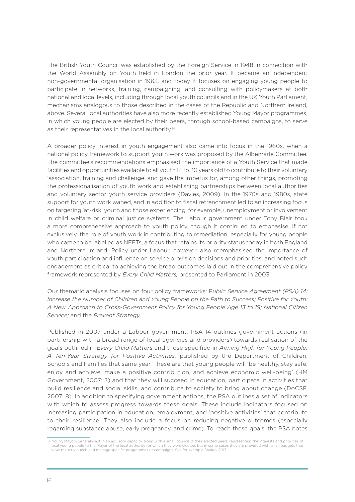The British Youth Council was established by the Foreign Service in 1948 in connection with the World Assembly on Youth held in London the prior year. It became an independent non-governmental organisation in 1963, and today it focuses on engaging young people to participate in networks, training, campaigning, and consulting with policymakers at both national and local levels, including through local youth councils and in the UK Youth Parliament, mechanisms analogous to those described in the cases of the Republic and Northern Ireland, above. Several local authorities have also more recently established Young Mayor programmes, in which young people are elected by their peers, through school-based campaigns, to serve as their representatives in the local authority.<sup>14</sup>

A broader policy interest in youth engagement also came into focus in the 1960s, when a national policy framework to support youth work was proposed by the Albemarle Committee. The committee's recommendations emphasised the importance of a Youth Service that made facilities and opportunities available to all youth 14 to 20 years old to contribute to their voluntary 'association, training and challenge' and gave the impetus for, among other things, promoting the professionalisation of youth work and establishing partnerships between local authorities and voluntary sector youth service providers (Davies, 2009). In the 1970s and 1980s, state support for youth work waned, and in addition to fiscal retrenchment led to an increasing focus on targeting 'at-risk' youth and those experiencing, for example, unemployment or involvement in child welfare or criminal justice systems. The Labour government under Tony Blair took a more comprehensive approach to youth policy, though it continued to emphasise, if not exclusively, the role of youth work in contributing to remediation, especially for young people who came to be labelled as NEETs, a focus that retains its priority status today in both England and Northern Ireland. Policy under Labour, however, also reemphasised the importance of youth participation and influence on service provision decisions and priorities, and noted such engagement as critical to achieving the broad outcomes laid out in the comprehensive policy framework represented by *Every Child Matters,* presented to Parliament in 2003.

Our thematic analysis focuses on four policy frameworks: P*ublic Service Agreement (PSA) 14: Increase the Number of Children and Young People on the Path to Success; Positive for Youth: A New Approach to Cross-Government Policy for Young People Age 13 to 19; National Citizen Service;* and the *Prevent Strategy*.

Published in 2007 under a Labour government, PSA 14 outlines government actions (in partnership with a broad range of local agencies and providers) towards realisation of the goals outlined in *Every Child Matters* and those specified in *Aiming High for Young People: A Ten-Year Strategy for Positive Activities,* published by the Department of Children, Schools and Families that same year. These are that young people will 'be healthy, stay safe, enjoy and achieve, make a positive contribution, and achieve economic well-being' (HM Government, 2007: 3) and that they will succeed in education, participate in activities that build resilience and social skills, and contribute to society to bring about change (DoCSF, 2007: 8). In addition to specifying government actions, the PSA outlines a set of indicators with which to assess progress towards these goals. These include indicators focused on increasing participation in education, employment, and 'positive activities' that contribute to their resilience. They also include a focus on reducing negative outcomes (especially regarding substance abuse, early pregnancy, and crime). To reach these goals, the PSA notes

<sup>14</sup> Young Mayors generally act in an advisory capacity, along with a small council of their elected peers, representing the interests and priorities of local young people to the Mayor of the local authority for which they were elected, but in some cases they are provided with small budgets that allow them to launch and manage specific programmes or campaigns. See for example Shukra, 2017.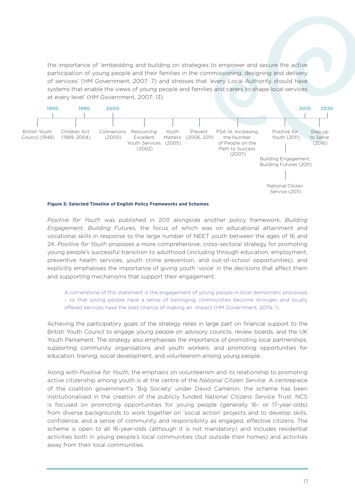the importance of 'embedding and building on strategies to empower and secure the active participation of young people and their families in the commissioning, designing and delivery of services' (HM Government, 2007: 7) and stresses that 'every Local Authority should have systems that enable the views of young people and families and carers to shape local services at every level' (HM Government, 2007: 13).  $\overline{9}$ an strategies to alugn  $.$ 



#### **Figure 5: Selected Timeline of English Policy Frameworks and Schemes**

*Positive for Youth* was published in 2011 alongside another policy framework, *Building Engagement, Building Futures,* the focus of which was on educational attainment and vocational skills in response to the large number of NEET youth between the ages of 16 and 24. *Positive for Youth* proposes a more comprehensive, cross-sectoral strategy for promoting young people's successful transition to adulthood (including through education, employment, preventive health services, youth crime prevention, and out-of-school opportunities), and explicitly emphasises the importance of giving youth 'voice' in the decisions that affect them and supporting mechanisms that support their engagement:

A cornerstone of this statement is the engagement of young people in local democratic processes – so that young people have a sense of belonging, communities become stronger, and locally offered services have the best chance of making an impact (HM Government, 2011a: 1).

Achieving the participatory goals of the strategy relies in large part on financial support to the British Youth Council to engage young people on advisory councils, review boards, and the UK Youth Parliament. The strategy also emphasises the importance of promoting local partnerships, supporting community organisations and youth workers, and promoting opportunities for education, training, social development, and volunteerism among young people.

Along with *Positive for Youth,* the emphasis on volunteerism and its relationship to promoting active citizenship among youth is at the centre of the *National Citizen Service.* A centrepiece of the coalition government's 'Big Society' under David Cameron, the scheme has been institutionalised in the creation of the publicly funded *National Citizens Service* Trust. NCS is focused on promoting opportunities for young people (generally 16- or 17-year-olds) from diverse backgrounds to work together on 'social action' projects and to develop skills, confidence, and a sense of community and responsibility as engaged, effective citizens. The scheme is open to all 16-year-olds (although it is not mandatory) and includes residential activities both in young people's local communities (but outside their homes) and activities away from their local communities.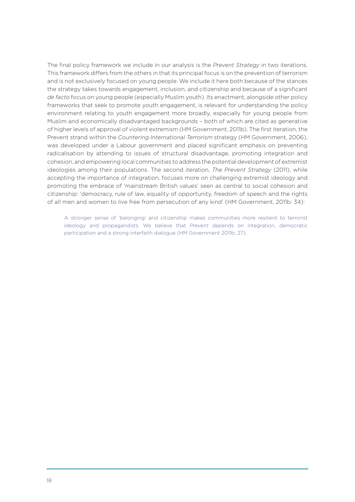The final policy framework we include in our analysis is the *Prevent Strategy* in two iterations. This framework differs from the others in that its principal focus is on the prevention of terrorism and is not exclusively focused on young people. We include it here both because of the stances the strategy takes towards engagement, inclusion, and citizenship and because of a significant *de facto* focus on young people (especially Muslim youth). Its enactment, alongside other policy frameworks that seek to promote youth engagement, is relevant for understanding the policy environment relating to youth engagement more broadly, especially for young people from Muslim and economically disadvantaged backgrounds – both of which are cited as generative of higher levels of approval of violent extremism (HM Government, 2011b). The first iteration, the Prevent strand within the *Countering International Terrorism* strategy (HM Government, 2006), was developed under a Labour government and placed significant emphasis on preventing radicalisation by attending to issues of structural disadvantage, promoting integration and cohesion, and empowering local communities to address the potential development of extremist ideologies among their populations. The second iteration, *The Prevent Strategy* (2011), while accepting the importance of integration, focuses more on challenging extremist ideology and promoting the embrace of 'mainstream British values' seen as central to social cohesion and citizenship: 'democracy, rule of law, equality of opportunity, freedom of speech and the rights of all men and women to live free from persecution of any kind' (HM Government, 2011b: 34):

A stronger sense of 'belonging' and citizenship makes communities more resilient to terrorist ideology and propagandists. We believe that *Prevent* depends on integration, democratic participation and a strong interfaith dialogue (HM Government 2011b: 27).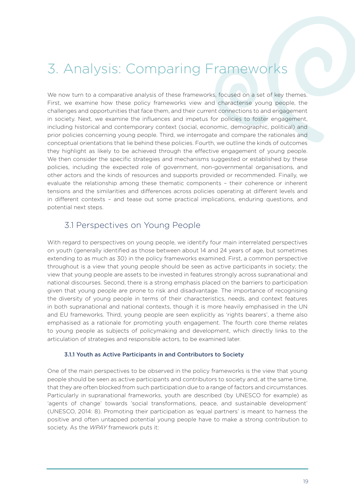## 3. Analysis: Comparing Frameworks

We now turn to a comparative analysis of these frameworks, focused on a set of key themes. First, we examine how these policy frameworks view and characterise young people, the challenges and opportunities that face them, and their current connections to and engagement in society. Next, we examine the influences and impetus for policies to foster engagement, including historical and contemporary context (social, economic, demographic, political) and prior policies concerning young people. Third, we interrogate and compare the rationales and conceptual orientations that lie behind these policies. Fourth, we outline the kinds of outcomes they highlight as likely to be achieved through the effective engagement of young people. We then consider the specific strategies and mechanisms suggested or established by these policies, including the expected role of government, non-governmental organisations, and other actors and the kinds of resources and supports provided or recommended. Finally, we evaluate the relationship among these thematic components – their coherence or inherent tensions and the similarities and differences across policies operating at different levels and in different contexts – and tease out some practical implications, enduring questions, and potential next steps.

### 3.1 Perspectives on Young People

With regard to perspectives on young people, we identify four main interrelated perspectives on youth (generally identified as those between about 14 and 24 years of age, but sometimes extending to as much as 30) in the policy frameworks examined. First, a common perspective throughout is a view that young people should be seen as active participants in society; the view that young people are assets to be invested in features strongly across supranational and national discourses. Second, there is a strong emphasis placed on the barriers to participation given that young people are prone to risk and disadvantage. The importance of recognising the diversity of young people in terms of their characteristics, needs, and context features in both supranational and national contexts, though it is more heavily emphasised in the UN and EU frameworks. Third, young people are seen explicitly as 'rights bearers', a theme also emphasised as a rationale for promoting youth engagement. The fourth core theme relates to young people as subjects of policymaking and development, which directly links to the articulation of strategies and responsible actors, to be examined later.

#### 3.1.1 Youth as Active Participants in and Contributors to Society

One of the main perspectives to be observed in the policy frameworks is the view that young people should be seen as active participants and contributors to society and, at the same time, that they are often blocked from such participation due to a range of factors and circumstances. Particularly in supranational frameworks, youth are described (by UNESCO for example) as 'agents of change' towards 'social transformations, peace, and sustainable development' (UNESCO, 2014: 8). Promoting their participation as 'equal partners' is meant to harness the positive and often untapped potential young people have to make a strong contribution to society. As the *WPAY* framework puts it: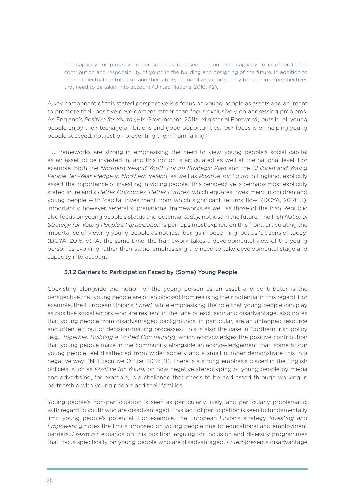The capacity for progress in our societies is based . . . on their capacity to incorporate the contribution and responsibility of youth in the building and designing of the future. In addition to their intellectual contribution and their ability to mobilize support, they bring unique perspectives that need to be taken into account (United Nations, 2010: 42).

A key component of this stated perspective is a focus on young people as assets and an intent to promote their positive development rather than focus exclusively on addressing problems. As England's *Positive for Youth* (HM Government, 2011a: Ministerial Foreword) puts it: 'all young people enjoy their teenage ambitions and good opportunities. Our focus is on helping young people succeed, not just on preventing them from failing.'

EU frameworks are strong in emphasising the need to view young people's social capital as an asset to be invested in, and this notion is articulated as well at the national level. For example, both the *Northern Ireland Youth Forum Strategic Plan* and the *Children and Young People Ten-Year Pledge in Northern Ireland*, as well as *Positive for Youth* in England, explicitly assert the importance of investing in young people. This perspective is perhaps most explicitly stated in Ireland's *Better Outcomes, Better Futures,* which equates investment in children and young people with 'capital investment from which significant returns flow' (DCYA, 2014: 3). Importantly, however, several supranational frameworks as well as those of the Irish Republic also focus on young people's status and potential *today,* not just in the future. The Irish *National Strategy for Young People's Participation* is perhaps most explicit on this front, articulating the importance of viewing young people as not just 'beings in becoming' but as 'citizens of today' (DCYA, 2015: v). At the same time, the framework takes a developmental view of the young person as evolving rather than static, emphasising the need to take developmental stage and capacity into account.

#### 3.1.2 Barriers to Participation Faced by (Some) Young People

Coexisting alongside the notion of the young person as an asset and contributor is the perspective that young people are often blocked from realising their potential in this regard. For example, the European Union's *Enter!,* while emphasising the role that young people can play as positive social actors who are resilient in the face of exclusion and disadvantage, also notes that young people from disadvantaged backgrounds, in particular, are an untapped resource and often left out of decision-making processes. This is also the case in Northern Irish policy (e.g., *Together: Building a United Community*), which acknowledges the positive contribution that young people make in the community alongside an acknowledgement that 'some of our young people feel disaffected from wider society and a small number demonstrate this in a negative way' (NI Executive Office, 2013: 21). There is a strong emphasis placed in the English policies, such as *Positive for Youth,* on how negative stereotyping of young people by media and advertising, for example, is a challenge that needs to be addressed through working in partnership with young people and their families.

Young people's non-participation is seen as particularly likely, and particularly problematic, with regard to youth who are disadvantaged. This lack of participation is seen to fundamentally limit young people's potential. For example, the European Union's strategy *Investing and Empowering* notes the limits imposed on young people due to educational and employment barriers. *Erasmus+* expands on this position, arguing for inclusion and diversity programmes that focus specifically on young people who are disadvantaged. *Enter!* presents disadvantage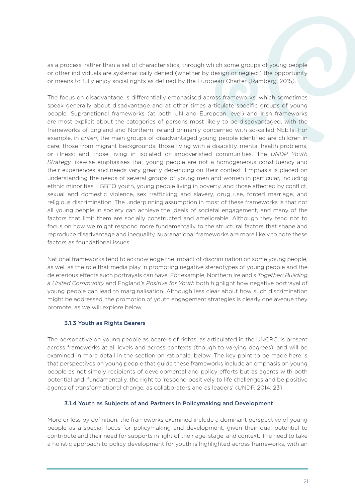as a process, rather than a set of characteristics, through which some groups of young people or other individuals are systematically denied (whether by design or neglect) the opportunity or means to fully enjoy social rights as defined by the European Charter (Ramberg, 2015).

The focus on disadvantage is differentially emphasised across frameworks, which sometimes speak generally about disadvantage and at other times articulate specific groups of young people. Supranational frameworks (at both UN and European level) and Irish frameworks are most explicit about the categories of persons most likely to be disadvantaged, with the frameworks of England and Northern Ireland primarily concerned with so-called NEETs. For example, in *Enter!*, the main groups of disadvantaged young people identified are children in care; those from migrant backgrounds; those living with a disability, mental health problems, or illness; and those living in isolated or impoverished communities. The *UNDP Youth Strategy* likewise emphasises that young people are not a homogeneous constituency and their experiences and needs vary greatly depending on their context. Emphasis is placed on understanding the needs of several groups of young men and women in particular, including ethnic minorities, LGBTQ youth, young people living in poverty, and those affected by conflict, sexual and domestic violence, sex trafficking and slavery, drug use, forced marriage, and religious discrimination. The underpinning assumption in most of these frameworks is that not all young people in society can achieve the ideals of societal engagement, and many of the factors that limit them are socially constructed and ameliorable. Although they tend not to focus on how we might respond more fundamentally to the structural factors that shape and reproduce disadvantage and inequality, supranational frameworks are more likely to note these factors as foundational issues.

National frameworks tend to acknowledge the impact of discrimination on some young people, as well as the role that media play in promoting negative stereotypes of young people and the deleterious effects such portrayals can have. For example, Northern Ireland's *Together: Building a United Community* and England's *Positive for Youth* both highlight how negative portrayal of young people can lead to marginalisation. Although less clear about how such discrimination might be addressed, the promotion of youth engagement strategies is clearly one avenue they promote, as we will explore below.

#### 3.1.3 Youth as Rights Bearers

The perspective on young people as bearers of rights, as articulated in the UNCRC, is present across frameworks at all levels and across contexts (though to varying degrees), and will be examined in more detail in the section on rationale, below. The key point to be made here is that perspectives on young people that guide these frameworks include an emphasis on young people as not simply recipients of developmental and policy efforts but as agents with both potential and, fundamentally, the right to 'respond positively to life challenges and be positive agents of transformational change, as collaborators and as leaders' (UNDP, 2014: 23).

#### 3.1.4 Youth as Subjects of and Partners in Policymaking and Development

More or less by definition, the frameworks examined include a dominant perspective of young people as a special focus for policymaking and development, given their dual potential to contribute and their need for supports in light of their age, stage, and context. The need to take a holistic approach to policy development for youth is highlighted across frameworks, with an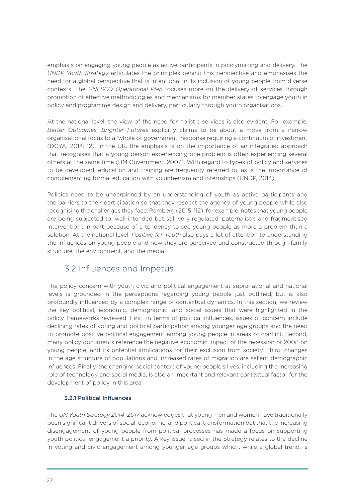emphasis on engaging young people as active participants in policymaking and delivery. The *UNDP Youth Strategy* articulates the principles behind this perspective and emphasises the need for a global perspective that is intentional in its inclusion of young people from diverse contexts. The *UNESCO Operational Plan* focuses more on the delivery of services through promotion of effective methodologies and mechanisms for member states to engage youth in policy and programme design and delivery, particularly through youth organisations.

At the national level, the view of the need for holistic services is also evident. For example, *Better Outcomes, Brighter Futures* explicitly claims to be about a move from a narrow organisational focus to a 'whole of government' response requiring a continuum of investment (DCYA, 2014: 12). In the UK, the emphasis is on the importance of an integrated approach that recognises that a young person experiencing one problem is often experiencing several others at the same time (HM Government, 2007). With regard to types of policy and services to be developed, education and training are frequently referred to, as is the importance of complementing formal education with volunteerism and internships (UNDP, 2014).

Policies need to be underpinned by an understanding of youth as active participants and the barriers to their participation so that they respect the agency of young people while also recognising the challenges they face. Ramberg (2015: 112), for example, notes that young people are being subjected to 'well-intended but still very regulated, paternalistic and fragmentised intervention', in part because of a tendency to see young people as more a problem than a solution. At the national level, *Positive for Youth* also pays a lot of attention to understanding the influences on young people and how they are perceived and constructed through family structure, the environment, and the media.

### 3.2 Influences and Impetus

The policy concern with youth civic and political engagement at supranational and national levels is grounded in the perceptions regarding young people just outlined, but is also profoundly influenced by a complex range of contextual dynamics. In this section, we review the key political, economic, demographic, and social issues that were highlighted in the policy frameworks reviewed. First, in terms of political influences, issues of concern include declining rates of voting and political participation among younger age groups and the need to promote positive political engagement among young people in areas of conflict. Second, many policy documents reference the negative economic impact of the recession of 2008 on young people, and its potential implications for their exclusion from society. Third, changes in the age structure of populations and increased rates of migration are salient demographic influences. Finally, the changing social context of young people's lives, including the increasing role of technology and social media, is also an important and relevant contextual factor for the development of policy in this area.

### 3.2.1 Political Influences

The *UN Youth Strategy 2014–2017* acknowledges that young men and women have traditionally been significant drivers of social, economic, and political transformation but that the increasing disengagement of young people from political processes has made a focus on supporting youth political engagement a priority. A key issue raised in the Strategy relates to the decline in voting and civic engagement among younger age groups which, while a global trend, is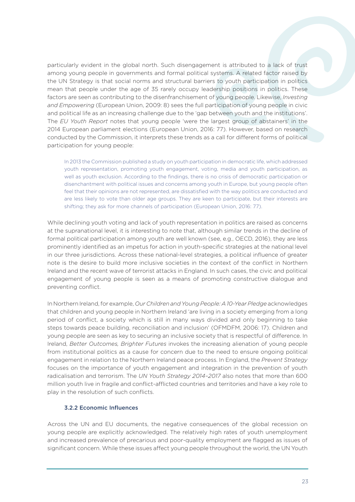particularly evident in the global north. Such disengagement is attributed to a lack of trust among young people in governments and formal political systems. A related factor raised by the UN Strategy is that social norms and structural barriers to youth participation in politics mean that people under the age of 35 rarely occupy leadership positions in politics. These factors are seen as contributing to the disenfranchisement of young people. Likewise, *Investing and Empowering* (European Union, 2009: 8) sees the full participation of young people in civic and political life as an increasing challenge due to the 'gap between youth and the institutions'. The *EU Youth Report* notes that young people 'were the largest group of abstainers' in the 2014 European parliament elections (European Union, 2016: 77). However, based on research conducted by the Commission, it interprets these trends as a call for different forms of political participation for young people:

In 2013 the Commission published a study on youth participation in democratic life, which addressed youth representation, promoting youth engagement, voting, media and youth participation, as well as youth exclusion. According to the findings, there is no crisis of democratic participation or disenchantment with political issues and concerns among youth in Europe, but young people often feel that their opinions are not represented, are dissatisfied with the way politics are conducted and are less likely to vote than older age groups. They are keen to participate, but their interests are shifting; they ask for more channels of participation (European Union, 2016: 77).

While declining youth voting and lack of youth representation in politics are raised as concerns at the supranational level, it is interesting to note that, although similar trends in the decline of formal political participation among youth are well known (see, e.g., OECD, 2016), they are less prominently identified as an impetus for action in youth-specific strategies at the national level in our three jurisdictions. Across these national-level strategies, a political influence of greater note is the desire to build more inclusive societies in the context of the conflict in Northern Ireland and the recent wave of terrorist attacks in England. In such cases, the civic and political engagement of young people is seen as a means of promoting constructive dialogue and preventing conflict.

In Northern Ireland, for example, *Our Children and Young People: A 10-Year Pledge* acknowledges that children and young people in Northern Ireland 'are living in a society emerging from a long period of conflict, a society which is still in many ways divided and only beginning to take steps towards peace building, reconciliation and inclusion' (OFMDFM, 2006: 17). Children and young people are seen as key to securing an inclusive society that is respectful of difference. In Ireland, *Better Outcomes, Brighter Futures* invokes the increasing alienation of young people from institutional politics as a cause for concern due to the need to ensure ongoing political engagement in relation to the Northern Ireland peace process. In England, the *Prevent Strategy* focuses on the importance of youth engagement and integration in the prevention of youth radicalisation and terrorism. The *UN Youth Strategy 2014–2017* also notes that more than 600 million youth live in fragile and conflict-afflicted countries and territories and have a key role to play in the resolution of such conflicts.

#### 3.2.2 Economic Influences

Across the UN and EU documents, the negative consequences of the global recession on young people are explicitly acknowledged. The relatively high rates of youth unemployment and increased prevalence of precarious and poor-quality employment are flagged as issues of significant concern. While these issues affect young people throughout the world, the UN Youth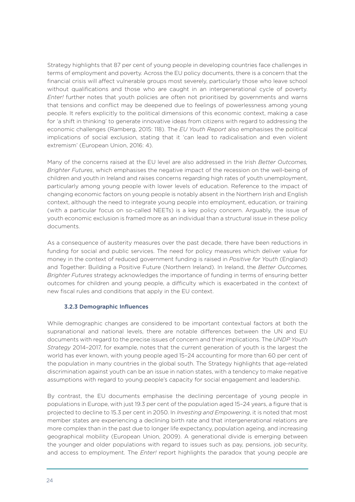Strategy highlights that 87 per cent of young people in developing countries face challenges in terms of employment and poverty. Across the EU policy documents, there is a concern that the financial crisis will affect vulnerable groups most severely, particularly those who leave school without qualifications and those who are caught in an intergenerational cycle of poverty. *Enter!* further notes that youth policies are often not prioritised by governments and warns that tensions and conflict may be deepened due to feelings of powerlessness among young people. It refers explicitly to the political dimensions of this economic context, making a case for 'a shift in thinking' to generate innovative ideas from citizens with regard to addressing the economic challenges (Ramberg, 2015: 118). The *EU Youth Report* also emphasises the political implications of social exclusion, stating that it 'can lead to radicalisation and even violent extremism' (European Union, 2016: 4).

Many of the concerns raised at the EU level are also addressed in the Irish *Better Outcomes, Brighter Futures*, which emphasises the negative impact of the recession on the well-being of children and youth in Ireland and raises concerns regarding high rates of youth unemployment, particularly among young people with lower levels of education. Reference to the impact of changing economic factors on young people is notably absent in the Northern Irish and English context, although the need to integrate young people into employment, education, or training (with a particular focus on so-called NEETs) is a key policy concern. Arguably, the issue of youth economic exclusion is framed more as an individual than a structural issue in these policy documents.

As a consequence of austerity measures over the past decade, there have been reductions in funding for social and public services. The need for policy measures which deliver value for money in the context of reduced government funding is raised in *Positive for Youth* (England) and Together: Building a Positive Future (Northern Ireland). In Ireland, the *Better Outcomes, Brighter Futures* strategy acknowledges the importance of funding in terms of ensuring better outcomes for children and young people, a difficulty which is exacerbated in the context of new fiscal rules and conditions that apply in the EU context.

#### 3.2.3 Demographic Influences

While demographic changes are considered to be important contextual factors at both the supranational and national levels, there are notable differences between the UN and EU documents with regard to the precise issues of concern and their implications. The *UNDP Youth Strategy* 2014–2017, for example, notes that the current generation of youth is the largest the world has ever known, with young people aged 15–24 accounting for more than 60 per cent of the population in many countries in the global south. The Strategy highlights that age-related discrimination against youth can be an issue in nation states, with a tendency to make negative assumptions with regard to young people's capacity for social engagement and leadership.

By contrast, the EU documents emphasise the declining percentage of young people in populations in Europe, with just 19.3 per cent of the population aged 15–24 years, a figure that is projected to decline to 15.3 per cent in 2050. In *Investing and Empowering*, it is noted that most member states are experiencing a declining birth rate and that intergenerational relations are more complex than in the past due to longer life expectancy, population ageing, and increasing geographical mobility (European Union, 2009). A generational divide is emerging between the younger and older populations with regard to issues such as pay, pensions, job security, and access to employment. The *Enter!* report highlights the paradox that young people are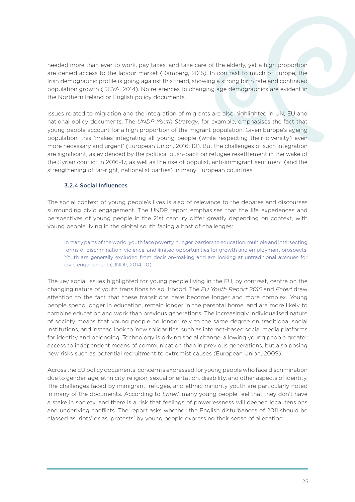needed more than ever to work, pay taxes, and take care of the elderly, yet a high proportion are denied access to the labour market (Ramberg, 2015). In contrast to much of Europe, the Irish demographic profile is going against this trend, showing a strong birth rate and continued population growth (DCYA, 2014). No references to changing age demographics are evident in the Northern Ireland or English policy documents.

Issues related to migration and the integration of migrants are also highlighted in UN, EU and national policy documents. The *UNDP Youth Strategy*, for example, emphasises the fact that young people account for a high proportion of the migrant population. Given Europe's ageing population, this 'makes integrating all young people (while respecting their diversity) even more necessary and urgent' (European Union, 2016: 10). But the challenges of such integration are significant, as evidenced by the political push-back on refugee resettlement in the wake of the Syrian conflict in 2016–17, as well as the rise of populist, anti-immigrant sentiment (and the strengthening of far-right, nationalist parties) in many European countries.

#### 3.2.4 Social Influences

The social context of young people's lives is also of relevance to the debates and discourses surrounding civic engagement. The UNDP report emphasises that the life experiences and perspectives of young people in the 21st century differ greatly depending on context, with young people living in the global south facing a host of challenges:

In many parts of the world, youth face poverty, hunger, barriers to education, multiple and intersecting forms of discrimination, violence, and limited opportunities for growth and employment prospects. Youth are generally excluded from decision-making and are looking at untraditional avenues for civic engagement (UNDP, 2014: 10).

The key social issues highlighted for young people living in the EU, by contrast, centre on the changing nature of youth transitions to adulthood. The *EU Youth Report 2015* and *Enter!* draw attention to the fact that these transitions have become longer and more complex. Young people spend longer in education, remain longer in the parental home, and are more likely to combine education and work than previous generations. The increasingly individualised nature of society means that young people no longer rely to the same degree on traditional social institutions, and instead look to 'new solidarities' such as internet-based social media platforms for identity and belonging. Technology is driving social change, allowing young people greater access to independent means of communication than in previous generations, but also posing new risks such as potential recruitment to extremist causes (European Union, 2009).

Across the EU policy documents, concern is expressed for young people who face discrimination due to gender, age, ethnicity, religion, sexual orientation, disability, and other aspects of identity. The challenges faced by immigrant, refugee, and ethnic minority youth are particularly noted in many of the documents. According to *Enter!*, many young people feel that they don't have a stake in society, and there is a risk that feelings of powerlessness will deepen local tensions and underlying conflicts. The report asks whether the English disturbances of 2011 should be classed as 'riots' or as 'protests' by young people expressing their sense of alienation: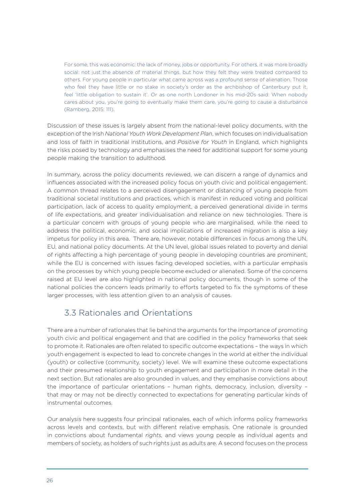For some, this was economic: the lack of money, jobs or opportunity. For others, it was more broadly social: not just the absence of material things, but how they felt they were treated compared to others. For young people in particular what came across was a profound sense of alienation. Those who feel they have little or no stake in society's order as the archbishop of Canterbury put it, feel 'little obligation to sustain it'. Or as one north Londoner in his mid-20s said: When nobody cares about you, you're going to eventually make them care, you're going to cause a disturbance (Ramberg, 2015: 111).

Discussion of these issues is largely absent from the national-level policy documents, with the exception of the Irish *National Youth Work Development Plan*, which focuses on individualisation and loss of faith in traditional institutions, and *Positive for Youth* in England, which highlights the risks posed by technology and emphasises the need for additional support for some young people making the transition to adulthood.

In summary, across the policy documents reviewed, we can discern a range of dynamics and influences associated with the increased policy focus on youth civic and political engagement. A common thread relates to a perceived disengagement or distancing of young people from traditional societal institutions and practices, which is manifest in reduced voting and political participation, lack of access to quality employment, a perceived generational divide in terms of life expectations, and greater individualisation and reliance on new technologies. There is a particular concern with groups of young people who are marginalised, while the need to address the political, economic, and social implications of increased migration is also a key impetus for policy in this area. There are, however, notable differences in focus among the UN, EU, and national policy documents. At the UN level, global issues related to poverty and denial of rights affecting a high percentage of young people in developing countries are prominent, while the EU is concerned with issues facing developed societies, with a particular emphasis on the processes by which young people become excluded or alienated. Some of the concerns raised at EU level are also highlighted in national policy documents, though in some of the national policies the concern leads primarily to efforts targeted to fix the symptoms of these larger processes, with less attention given to an analysis of causes.

### 3.3 Rationales and Orientations

There are a number of rationales that lie behind the arguments for the importance of promoting youth civic and political engagement and that are codified in the policy frameworks that seek to promote it. Rationales are often related to specific outcome expectations – the ways in which youth engagement is expected to lead to concrete changes in the world at either the individual (youth) or collective (community, society) level. We will examine these outcome expectations and their presumed relationship to youth engagement and participation in more detail in the next section. But rationales are also grounded in values, and they emphasise convictions about the importance of particular orientations – human rights, democracy, inclusion, diversity – that may or may not be directly connected to expectations for generating particular kinds of instrumental outcomes.

Our analysis here suggests four principal rationales, each of which informs policy frameworks across levels and contexts, but with different relative emphasis. One rationale is grounded in convictions about fundamental *rights,* and views young people as individual agents and members of society, as holders of such rights just as adults are. A second focuses on the process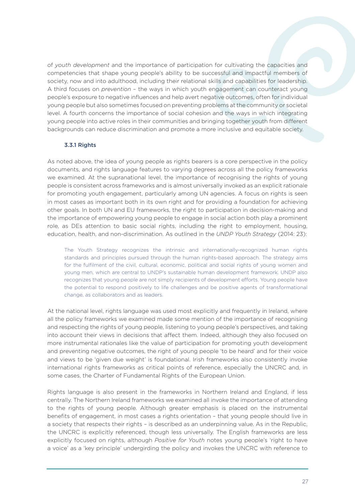of *youth development* and the importance of participation for cultivating the capacities and competencies that shape young people's ability to be successful and impactful members of society, now and into adulthood, including their relational skills and capabilities for leadership. A third focuses on *prevention* – the ways in which youth engagement can counteract young people's exposure to negative influences and help avert negative outcomes, often for individual young people but also sometimes focused on preventing problems at the community or societal level. A fourth concerns the importance of social cohesion and the ways in which integrating young people into active roles in their communities and bringing together youth from different backgrounds can reduce discrimination and promote a more inclusive and equitable society.

#### 3.3.1 Rights

As noted above, the idea of young people as rights bearers is a core perspective in the policy documents, and rights language features to varying degrees across all the policy frameworks we examined. At the supranational level, the importance of recognising the rights of young people is consistent across frameworks and is almost universally invoked as an explicit rationale for promoting youth engagement, particularly among UN agencies. A focus on rights is seen in most cases as important both in its own right and for providing a foundation for achieving other goals. In both UN and EU frameworks, the right to participation in decision-making and the importance of empowering young people to engage in social action both play a prominent role, as DEs attention to basic social rights, including the right to employment, housing, education, health, and non-discrimination. As outlined in the *UNDP Youth Strategy* (2014: 23):

The Youth Strategy recognizes the intrinsic and internationally-recognized human rights standards and principles pursued through the human rights-based approach. The strategy aims for the fulfilment of the civil, cultural, economic, political and social rights of young women and young men, which are central to UNDP's sustainable human development framework. UNDP also recognizes that young people are not simply recipients of development efforts. Young people have the potential to respond positively to life challenges and be positive agents of transformational change, as collaborators and as leaders.

At the national level, rights language was used most explicitly and frequently in Ireland, where all the policy frameworks we examined made some mention of the importance of recognising and respecting the rights of young people, listening to young people's perspectives, and taking into account their views in decisions that affect them. Indeed, although they also focused on more instrumental rationales like the value of participation for promoting youth development and preventing negative outcomes, the right of young people 'to be heard' and for their voice and views to be 'given due weight' is foundational. Irish frameworks also consistently invoke international rights frameworks as critical points of reference, especially the UNCRC and, in some cases, the Charter of Fundamental Rights of the European Union.

Rights language is also present in the frameworks in Northern Ireland and England, if less centrally. The Northern Ireland frameworks we examined all invoke the importance of attending to the rights of young people. Although greater emphasis is placed on the instrumental benefits of engagement, in most cases a rights orientation – that young people should live in a society that respects their rights – is described as an underpinning value. As in the Republic, the UNCRC is explicitly referenced, though less universally. The English frameworks are less explicitly focused on rights, although *Positive for Youth* notes young people's 'right to have a voice' as a 'key principle' undergirding the policy and invokes the UNCRC with reference to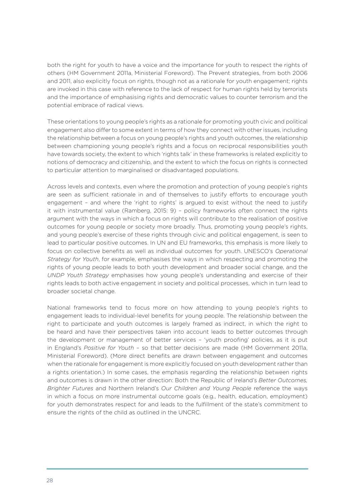both the right for youth to have a voice and the importance for youth to respect the rights of others (HM Government 2011a, Ministerial Foreword). The Prevent strategies, from both 2006 and 2011, also explicitly focus on rights, though not as a rationale for youth engagement; rights are invoked in this case with reference to the lack of respect for human rights held by terrorists and the importance of emphasising rights and democratic values to counter terrorism and the potential embrace of radical views.

These orientations to young people's rights as a rationale for promoting youth civic and political engagement also differ to some extent in terms of how they connect with other issues, including the relationship between a focus on young people's rights and youth outcomes, the relationship between championing young people's rights and a focus on reciprocal responsibilities youth have towards society, the extent to which 'rights talk' in these frameworks is related explicitly to notions of democracy and citizenship, and the extent to which the focus on rights is connected to particular attention to marginalised or disadvantaged populations.

Across levels and contexts, even where the promotion and protection of young people's rights are seen as sufficient rationale in and of themselves to justify efforts to encourage youth engagement - and where the 'right to rights' is argued to exist without the need to justify it with instrumental value (Ramberg, 2015: 9) – policy frameworks often connect the rights argument with the ways in which a focus on rights will contribute to the realisation of positive outcomes for young people or society more broadly. Thus, promoting young people's rights, and young people's exercise of these rights through civic and political engagement, is seen to lead to particular positive outcomes. In UN and EU frameworks, this emphasis is more likely to focus on collective benefits as well as individual outcomes for youth. UNESCO's *Operational Strategy for Youth*, for example, emphasises the ways in which respecting and promoting the rights of young people leads to both youth development and broader social change, and the *UNDP Youth Strategy* emphasises how young people's understanding and exercise of their rights leads to both active engagement in society and political processes, which in turn lead to broader societal change.

National frameworks tend to focus more on how attending to young people's rights to engagement leads to individual-level benefits for young people. The relationship between the right to participate and youth outcomes is largely framed as indirect, in which the right to be heard and have their perspectives taken into account leads to better outcomes through the development or management of better services – 'youth proofing' policies, as it is put in England's *Positive for Youth* – so that better decisions are made (HM Government 2011a, Ministerial Foreword). (More direct benefits are drawn between engagement and outcomes when the rationale for engagement is more explicitly focused on youth development rather than a rights orientation.) In some cases, the emphasis regarding the relationship between rights and outcomes is drawn in the other direction: Both the Republic of Ireland's *Better Outcomes, Brighter Futures* and Northern Ireland's *Our Children and Young People* reference the ways in which a focus on more instrumental outcome goals (e.g., health, education, employment) for youth demonstrates respect for and leads to the fulfillment of the state's commitment to ensure the rights of the child as outlined in the UNCRC.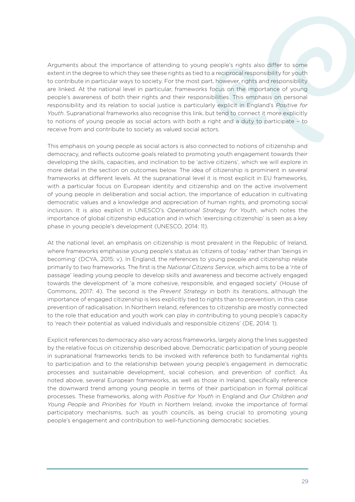Arguments about the importance of attending to young people's rights also differ to some extent in the degree to which they see these rights as tied to a reciprocal responsibility for youth to contribute in particular ways to society. For the most part, however, rights and responsibility are linked. At the national level in particular, frameworks focus on the importance of young people's awareness of both their rights and their responsibilities. This emphasis on personal responsibility and its relation to social justice is particularly explicit in England's *Positive for Youth*. Supranational frameworks also recognise this link, but tend to connect it more explicitly to notions of young people as social actors with both a right and a duty to participate – to receive from and contribute to society as valued social actors.

This emphasis on young people as social actors is also connected to notions of citizenship and democracy, and reflects outcome goals related to promoting youth engagement towards their developing the skills, capacities, and inclination to be 'active citizens', which we will explore in more detail in the section on outcomes below. The idea of citizenship is prominent in several frameworks at different levels. At the supranational level it is most explicit in EU frameworks, with a particular focus on European identity and citizenship and on the active involvement of young people in deliberation and social action, the importance of education in cultivating democratic values and a knowledge and appreciation of human rights, and promoting social inclusion. It is also explicit in UNESCO's *Operational Strategy for Youth*, which notes the importance of global citizenship education and in which 'exercising citizenship' is seen as a key phase in young people's development (UNESCO, 2014: 11).

At the national level, an emphasis on citizenship is most prevalent in the Republic of Ireland, where frameworks emphasise young people's status as 'citizens of today' rather than 'beings in becoming' (DCYA, 2015: v). In England, the references to young people and citizenship relate primarily to two frameworks. The first is the *National Citizens Service*, which aims to be a 'rite of passage' leading young people to develop skills and awareness and become actively engaged towards the development of 'a more cohesive, responsible, and engaged society' (House of Commons, 2017: 4). The second is the *Prevent Strategy* in both its iterations, although the importance of engaged citizenship is less explicitly tied to rights than to prevention, in this case prevention of radicalisation. In Northern Ireland, references to citizenship are mostly connected to the role that education and youth work can play in contributing to young people's capacity to 'reach their potential as valued individuals and responsible citizens' (DE, 2014: 1).

Explicit references to democracy also vary across frameworks, largely along the lines suggested by the relative focus on citizenship described above. Democratic participation of young people in supranational frameworks tends to be invoked with reference both to fundamental rights to participation and to the relationship between young people's engagement in democratic processes and sustainable development, social cohesion, and prevention of conflict. As noted above, several European frameworks, as well as those in Ireland, specifically reference the downward trend among young people in terms of their participation in formal political processes. These frameworks, along with *Positive for Youth* in England and *Our Children and Young People* and *Priorities for Youth* in Northern Ireland, invoke the importance of formal participatory mechanisms, such as youth councils, as being crucial to promoting young people's engagement and contribution to well-functioning democratic societies.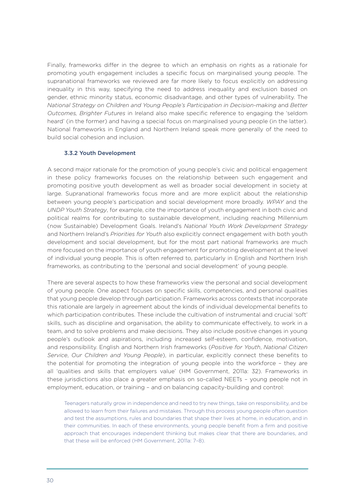Finally, frameworks differ in the degree to which an emphasis on rights as a rationale for promoting youth engagement includes a specific focus on marginalised young people. The supranational frameworks we reviewed are far more likely to focus explicitly on addressing inequality in this way, specifying the need to address inequality and exclusion based on gender, ethnic minority status, economic disadvantage, and other types of vulnerability. The *National Strategy on Children and Young People's Participation in Decision-making* and *Better Outcomes, Brighter Futures* in Ireland also make specific reference to engaging the 'seldom heard' (in the former) and having a special focus on marginalised young people (in the latter). National frameworks in England and Northern Ireland speak more generally of the need to build social cohesion and inclusion.

#### 3.3.2 Youth Development

A second major rationale for the promotion of young people's civic and political engagement in these policy frameworks focuses on the relationship between such engagement and promoting positive youth development as well as broader social development in society at large. Supranational frameworks focus more and are more explicit about the relationship between young people's participation and social development more broadly. *WPAY* and the *UNDP Youth Strategy*, for example, cite the importance of youth engagement in both civic and political realms for contributing to sustainable development, including reaching Millennium (now Sustainable) Development Goals. Ireland's *National Youth Work Development Strategy* and Northern Ireland's *Priorities for Youth* also explicitly connect engagement with both youth development and social development, but for the most part national frameworks are much more focused on the importance of youth engagement for promoting development at the level of individual young people. This is often referred to, particularly in English and Northern Irish frameworks, as contributing to the 'personal and social development' of young people.

There are several aspects to how these frameworks view the personal and social development of young people. One aspect focuses on specific skills, competencies, and personal qualities that young people develop through participation. Frameworks across contexts that incorporate this rationale are largely in agreement about the kinds of individual developmental benefits to which participation contributes. These include the cultivation of instrumental and crucial 'soft' skills, such as discipline and organisation, the ability to communicate effectively, to work in a team, and to solve problems and make decisions. They also include positive changes in young people's outlook and aspirations, including increased self-esteem, confidence, motivation, and responsibility. English and Northern Irish frameworks (*Positive for Youth*, *National Citizen Service*, *Our Children and Young People*), in particular, explicitly connect these benefits to the potential for promoting the integration of young people into the workforce – they are all 'qualities and skills that employers value' (HM Government, 2011a: 32). Frameworks in these jurisdictions also place a greater emphasis on so-called NEETs – young people not in employment, education, or training – and on balancing capacity-building and control:

Teenagers naturally grow in independence and need to try new things, take on responsibility, and be allowed to learn from their failures and mistakes. Through this process young people often question and test the assumptions, rules and boundaries that shape their lives at home, in education, and in their communities. In each of these environments, young people benefit from a firm and positive approach that encourages independent thinking but makes clear that there are boundaries, and that these will be enforced (HM Government, 2011a: 7–8).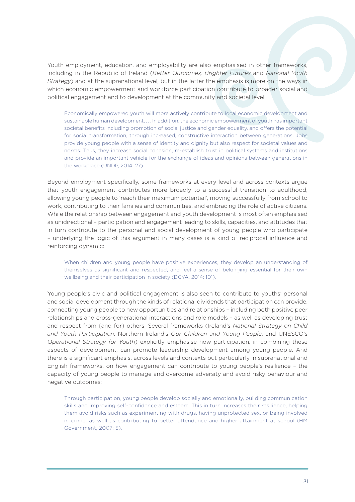Youth employment, education, and employability are also emphasised in other frameworks, including in the Republic of Ireland (*Better Outcomes, Brighter Futures* and *National Youth Strategy*) and at the supranational level, but in the latter the emphasis is more on the ways in which economic empowerment and workforce participation contribute to broader social and political engagement and to development at the community and societal level:

Economically empowered youth will more actively contribute to local economic development and sustainable human development. . . . In addition, the economic empowerment of youth has important societal benefits including promotion of social justice and gender equality, and offers the potential for social transformation, through increased, constructive interaction between generations. Jobs provide young people with a sense of identity and dignity but also respect for societal values and norms. Thus, they increase social cohesion, re-establish trust in political systems and institutions and provide an important vehicle for the exchange of ideas and opinions between generations in the workplace (UNDP, 2014: 27).

Beyond employment specifically, some frameworks at every level and across contexts argue that youth engagement contributes more broadly to a successful transition to adulthood, allowing young people to 'reach their maximum potential', moving successfully from school to work, contributing to their families and communities, and embracing the role of active citizens. While the relationship between engagement and youth development is most often emphasised as unidirectional – participation and engagement leading to skills, capacities, and attitudes that in turn contribute to the personal and social development of young people who participate – underlying the logic of this argument in many cases is a kind of reciprocal influence and reinforcing dynamic:

When children and young people have positive experiences, they develop an understanding of themselves as significant and respected, and feel a sense of belonging essential for their own wellbeing and their participation in society (DCYA, 2014: 101).

Young people's civic and political engagement is also seen to contribute to youths' personal and social development through the kinds of relational dividends that participation can provide, connecting young people to new opportunities and relationships – including both positive peer relationships and cross-generational interactions and role models – as well as developing trust and respect from (and for) others. Several frameworks (Ireland's *National Strategy on Child and Youth Participation*, Northern Ireland's *Our Children and Young People*, and UNESCO's *Operational Strategy for Youth*) explicitly emphasise how participation, in combining these aspects of development, can promote leadership development among young people. And there is a significant emphasis, across levels and contexts but particularly in supranational and English frameworks, on how engagement can contribute to young people's resilience – the capacity of young people to manage and overcome adversity and avoid risky behaviour and negative outcomes:

Through participation, young people develop socially and emotionally, building communication skills and improving self-confidence and esteem. This in turn increases their resilience, helping them avoid risks such as experimenting with drugs, having unprotected sex, or being involved in crime, as well as contributing to better attendance and higher attainment at school (HM Government, 2007: 5).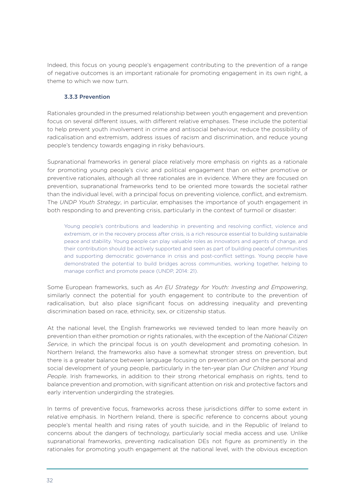Indeed, this focus on young people's engagement contributing to the prevention of a range of negative outcomes is an important rationale for promoting engagement in its own right, a theme to which we now turn.

#### 3.3.3 Prevention

Rationales grounded in the presumed relationship between youth engagement and prevention focus on several different issues, with different relative emphases. These include the potential to help prevent youth involvement in crime and antisocial behaviour, reduce the possibility of radicalisation and extremism, address issues of racism and discrimination, and reduce young people's tendency towards engaging in risky behaviours.

Supranational frameworks in general place relatively more emphasis on rights as a rationale for promoting young people's civic and political engagement than on either promotive or preventive rationales, although all three rationales are in evidence. Where they are focused on prevention, supranational frameworks tend to be oriented more towards the societal rather than the individual level, with a principal focus on preventing violence, conflict, and extremism. The *UNDP Youth Strategy*, in particular, emphasises the importance of youth engagement in both responding to and preventing crisis, particularly in the context of turmoil or disaster:

Young people's contributions and leadership in preventing and resolving conflict, violence and extremism, or in the recovery process after crisis, is a rich resource essential to building sustainable peace and stability. Young people can play valuable roles as innovators and agents of change, and their contribution should be actively supported and seen as part of building peaceful communities and supporting democratic governance in crisis and post-conflict settings. Young people have demonstrated the potential to build bridges across communities, working together, helping to manage conflict and promote peace (UNDP, 2014: 21).

Some European frameworks, such as *An EU Strategy for Youth: Investing and Empowering*, similarly connect the potential for youth engagement to contribute to the prevention of radicalisation, but also place significant focus on addressing inequality and preventing discrimination based on race, ethnicity, sex, or citizenship status.

At the national level, the English frameworks we reviewed tended to lean more heavily on prevention than either promotion or rights rationales, with the exception of the *National Citizen Service*, in which the principal focus is on youth development and promoting cohesion. In Northern Ireland, the frameworks also have a somewhat stronger stress on prevention, but there is a greater balance between language focusing on prevention and on the personal and social development of young people, particularly in the ten-year plan *Our Children and Young People*. Irish frameworks, in addition to their strong rhetorical emphasis on rights, tend to balance prevention and promotion, with significant attention on risk and protective factors and early intervention undergirding the strategies.

In terms of preventive focus, frameworks across these jurisdictions differ to some extent in relative emphasis. In Northern Ireland, there is specific reference to concerns about young people's mental health and rising rates of youth suicide, and in the Republic of Ireland to concerns about the dangers of technology, particularly social media access and use. Unlike supranational frameworks, preventing radicalisation DEs not figure as prominently in the rationales for promoting youth engagement at the national level, with the obvious exception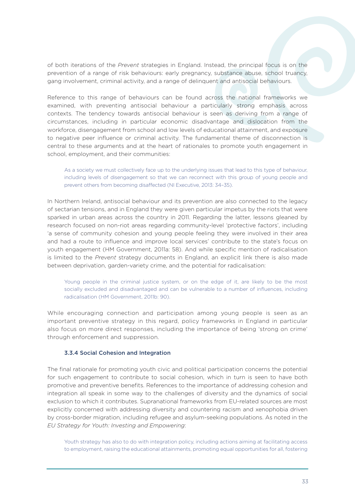of both iterations of the *Prevent* strategies in England. Instead, the principal focus is on the prevention of a range of risk behaviours: early pregnancy, substance abuse, school truancy, gang involvement, criminal activity, and a range of delinquent and antisocial behaviours.

Reference to this range of behaviours can be found across the national frameworks we examined, with preventing antisocial behaviour a particularly strong emphasis across contexts. The tendency towards antisocial behaviour is seen as deriving from a range of circumstances, including in particular economic disadvantage and dislocation from the workforce, disengagement from school and low levels of educational attainment, and exposure to negative peer influence or criminal activity. The fundamental theme of disconnection is central to these arguments and at the heart of rationales to promote youth engagement in school, employment, and their communities:

As a society we must collectively face up to the underlying issues that lead to this type of behaviour, including levels of disengagement so that we can reconnect with this group of young people and prevent others from becoming disaffected (NI Executive, 2013: 34–35).

In Northern Ireland, antisocial behaviour and its prevention are also connected to the legacy of sectarian tensions, and in England they were given particular impetus by the riots that were sparked in urban areas across the country in 2011. Regarding the latter, lessons gleaned by research focused on non-riot areas regarding community-level 'protective factors', including 'a sense of community cohesion and young people feeling they were involved in their area and had a route to influence and improve local services' contribute to the state's focus on youth engagement (HM Government, 2011a: 58). And while specific mention of radicalisation is limited to the *Prevent* strategy documents in England, an explicit link there is also made between deprivation, garden-variety crime, and the potential for radicalisation:

Young people in the criminal justice system, or on the edge of it, are likely to be the most socially excluded and disadvantaged and can be vulnerable to a number of influences, including radicalisation (HM Government, 2011b: 90).

While encouraging connection and participation among young people is seen as an important preventive strategy in this regard, policy frameworks in England in particular also focus on more direct responses, including the importance of being 'strong on crime' through enforcement and suppression.

#### 3.3.4 Social Cohesion and Integration

The final rationale for promoting youth civic and political participation concerns the potential for such engagement to contribute to social cohesion, which in turn is seen to have both promotive and preventive benefits. References to the importance of addressing cohesion and integration all speak in some way to the challenges of diversity and the dynamics of social exclusion to which it contributes. Supranational frameworks from EU-related sources are most explicitly concerned with addressing diversity and countering racism and xenophobia driven by cross-border migration, including refugee and asylum-seeking populations. As noted in the *EU Strategy for Youth: Investing and Empowering*:

Youth strategy has also to do with integration policy, including actions aiming at facilitating access to employment, raising the educational attainments, promoting equal opportunities for all, fostering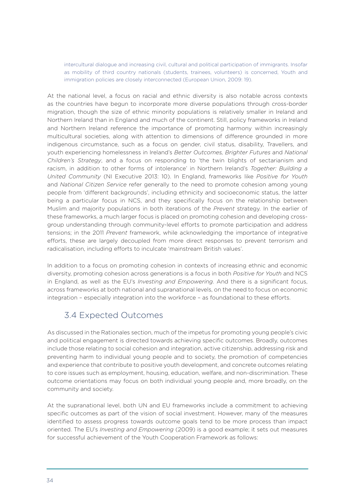intercultural dialogue and increasing civil, cultural and political participation of immigrants. Insofar as mobility of third country nationals (students, trainees, volunteers) is concerned, Youth and immigration policies are closely interconnected (European Union, 2009: 19).

At the national level, a focus on racial and ethnic diversity is also notable across contexts as the countries have begun to incorporate more diverse populations through cross-border migration, though the size of ethnic minority populations is relatively smaller in Ireland and Northern Ireland than in England and much of the continent. Still, policy frameworks in Ireland and Northern Ireland reference the importance of promoting harmony within increasingly multicultural societies, along with attention to dimensions of difference grounded in more indigenous circumstance, such as a focus on gender, civil status, disability, Travellers, and youth experiencing homelessness in Ireland's *Better Outcomes, Brighter Futures* and *National Children's Strategy*, and a focus on responding to 'the twin blights of sectarianism and racism, in addition to other forms of intolerance' in Northern Ireland's *Together: Building a United Community* (NI Executive 2013: 10). In England, frameworks like *Positive for Youth* and *National Citizen Service* refer generally to the need to promote cohesion among young people from 'different backgrounds', including ethnicity and socioeconomic status, the latter being a particular focus in NCS, and they specifically focus on the relationship between Muslim and majority populations in both iterations of the *Prevent* strategy. In the earlier of these frameworks, a much larger focus is placed on promoting cohesion and developing crossgroup understanding through community-level efforts to promote participation and address tensions; in the 2011 *Prevent* framework, while acknowledging the importance of integrative efforts, these are largely decoupled from more direct responses to prevent terrorism and radicalisation, including efforts to inculcate 'mainstream British values'.

In addition to a focus on promoting cohesion in contexts of increasing ethnic and economic diversity, promoting cohesion across generations is a focus in both *Positive for Youth* and NCS in England, as well as the EU's *Investing and Empowering*. And there is a significant focus, across frameworks at both national and supranational levels, on the need to focus on economic integration – especially integration into the workforce – as foundational to these efforts.

### 3.4 Expected Outcomes

As discussed in the Rationales section, much of the impetus for promoting young people's civic and political engagement is directed towards achieving specific outcomes. Broadly, outcomes include those relating to social cohesion and integration, active citizenship, addressing risk and preventing harm to individual young people and to society, the promotion of competencies and experience that contribute to positive youth development, and concrete outcomes relating to core issues such as employment, housing, education, welfare, and non-discrimination. These outcome orientations may focus on both individual young people and, more broadly, on the community and society.

At the supranational level, both UN and EU frameworks include a commitment to achieving specific outcomes as part of the vision of social investment. However, many of the measures identified to assess progress towards outcome goals tend to be more process than impact oriented. The EU's *Investing and Empowering* (2009) is a good example; it sets out measures for successful achievement of the Youth Cooperation Framework as follows: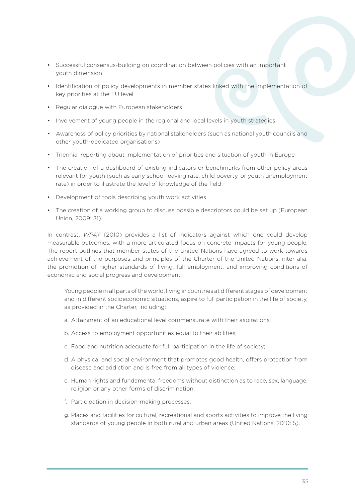- Successful consensus-building on coordination between policies with an important youth dimension
- Identification of policy developments in member states linked with the implementation of key priorities at the EU level
- Regular dialogue with European stakeholders
- Involvement of young people in the regional and local levels in youth strategies
- Awareness of policy priorities by national stakeholders (such as national youth councils and other youth-dedicated organisations)
- Triennial reporting about implementation of priorities and situation of youth in Europe
- The creation of a dashboard of existing indicators or benchmarks from other policy areas relevant for youth (such as early school leaving rate, child poverty, or youth unemployment rate) in order to illustrate the level of knowledge of the field
- Development of tools describing youth work activities
- The creation of a working group to discuss possible descriptors could be set up (European Union, 2009: 31).

In contrast, *WPAY* (2010) provides a list of indicators against which one could develop measurable outcomes, with a more articulated focus on concrete impacts for young people. The report outlines that member states of the United Nations have agreed to work towards achievement of the purposes and principles of the Charter of the United Nations, inter alia, the promotion of higher standards of living, full employment, and improving conditions of economic and social progress and development:

Young people in all parts of the world, living in countries at different stages of development and in different socioeconomic situations, aspire to full participation in the life of society, as provided in the Charter, including:

- a. Attainment of an educational level commensurate with their aspirations;
- b. Access to employment opportunities equal to their abilities;
- c. Food and nutrition adequate for full participation in the life of society;
- d. A physical and social environment that promotes good health, offers protection from disease and addiction and is free from all types of violence;
- e. Human rights and fundamental freedoms without distinction as to race, sex, language, religion or any other forms of discrimination;
- f. Participation in decision-making processes;
- g. Places and facilities for cultural, recreational and sports activities to improve the living standards of young people in both rural and urban areas (United Nations, 2010: 5).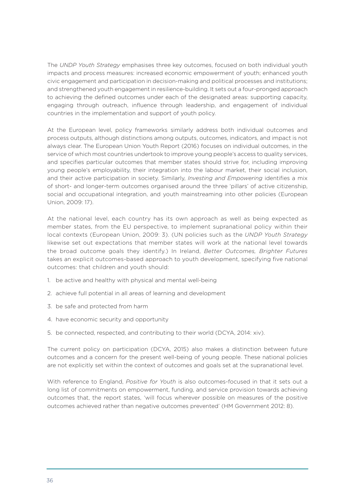The *UNDP Youth Strategy* emphasises three key outcomes, focused on both individual youth impacts and process measures: increased economic empowerment of youth; enhanced youth civic engagement and participation in decision-making and political processes and institutions; and strengthened youth engagement in resilience-building. It sets out a four-pronged approach to achieving the defined outcomes under each of the designated areas: supporting capacity, engaging through outreach, influence through leadership, and engagement of individual countries in the implementation and support of youth policy.

At the European level, policy frameworks similarly address both individual outcomes and process outputs, although distinctions among outputs, outcomes, indicators, and impact is not always clear. The European Union Youth Report (2016) focuses on individual outcomes, in the service of which most countries undertook to improve young people's access to quality services, and specifies particular outcomes that member states should strive for, including improving young people's employability, their integration into the labour market, their social inclusion, and their active participation in society. Similarly, *Investing and Empowering* identifies a mix of short- and longer-term outcomes organised around the three 'pillars' of active citizenship, social and occupational integration, and youth mainstreaming into other policies (European Union, 2009: 17).

At the national level, each country has its own approach as well as being expected as member states, from the EU perspective, to implement supranational policy within their local contexts (European Union, 2009: 3). (UN policies such as the *UNDP Youth Strategy* likewise set out expectations that member states will work at the national level towards the broad outcome goals they identify.) In Ireland, *Better Outcomes, Brighter Futures* takes an explicit outcomes-based approach to youth development, specifying five national outcomes: that children and youth should:

- 1. be active and healthy with physical and mental well-being
- 2. achieve full potential in all areas of learning and development
- 3. be safe and protected from harm
- 4. have economic security and opportunity
- 5. be connected, respected, and contributing to their world (DCYA, 2014: xiv).

The current policy on participation (DCYA, 2015) also makes a distinction between future outcomes and a concern for the present well-being of young people. These national policies are not explicitly set within the context of outcomes and goals set at the supranational level.

With reference to England, *Positive for Youth* is also outcomes-focused in that it sets out a long list of commitments on empowerment, funding, and service provision towards achieving outcomes that, the report states, 'will focus wherever possible on measures of the positive outcomes achieved rather than negative outcomes prevented' (HM Government 2012: 8).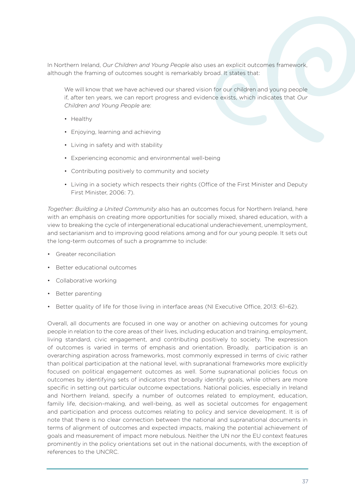In Northern Ireland, *Our Children and Young People* also uses an explicit outcomes framework, although the framing of outcomes sought is remarkably broad. It states that:

We will know that we have achieved our shared vision for our children and young people if, after ten years, we can report progress and evidence exists, which indicates that *Our Children and Young People* are:

- Healthy
- Enjoying, learning and achieving
- Living in safety and with stability
- Experiencing economic and environmental well-being
- Contributing positively to community and society
- Living in a society which respects their rights (Office of the First Minister and Deputy First Minister, 2006: 7).

*Together: Building a United Community* also has an outcomes focus for Northern Ireland, here with an emphasis on creating more opportunities for socially mixed, shared education, with a view to breaking the cycle of intergenerational educational underachievement, unemployment, and sectarianism and to improving good relations among and for our young people. It sets out the long-term outcomes of such a programme to include:

- Greater reconciliation
- Better educational outcomes
- Collaborative working
- Better parenting
- Better quality of life for those living in interface areas (NI Executive Office, 2013: 61–62).

Overall, all documents are focused in one way or another on achieving outcomes for young people in relation to the core areas of their lives, including education and training, employment, living standard, civic engagement, and contributing positively to society. The expression of outcomes is varied in terms of emphasis and orientation. Broadly, participation is an overarching aspiration across frameworks, most commonly expressed in terms of civic rather than political participation at the national level, with supranational frameworks more explicitly focused on political engagement outcomes as well. Some supranational policies focus on outcomes by identifying sets of indicators that broadly identify goals, while others are more specific in setting out particular outcome expectations. National policies, especially in Ireland and Northern Ireland, specify a number of outcomes related to employment, education, family life, decision-making, and well-being, as well as societal outcomes for engagement and participation and process outcomes relating to policy and service development. It is of note that there is no clear connection between the national and supranational documents in terms of alignment of outcomes and expected impacts, making the potential achievement of goals and measurement of impact more nebulous. Neither the UN nor the EU context features prominently in the policy orientations set out in the national documents, with the exception of references to the UNCRC.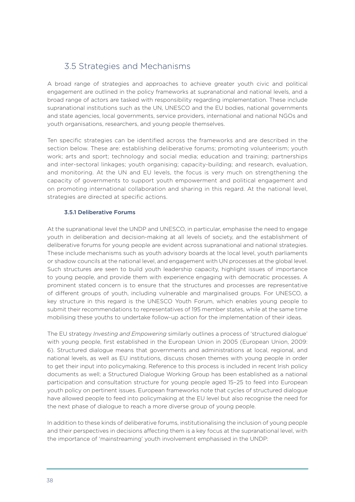### 3.5 Strategies and Mechanisms

A broad range of strategies and approaches to achieve greater youth civic and political engagement are outlined in the policy frameworks at supranational and national levels, and a broad range of actors are tasked with responsibility regarding implementation. These include supranational institutions such as the UN, UNESCO and the EU bodies, national governments and state agencies, local governments, service providers, international and national NGOs and youth organisations, researchers, and young people themselves.

Ten specific strategies can be identified across the frameworks and are described in the section below. These are: establishing deliberative forums; promoting volunteerism; youth work; arts and sport; technology and social media; education and training; partnerships and inter-sectoral linkages; youth organising; capacity-building; and research, evaluation, and monitoring. At the UN and EU levels, the focus is very much on strengthening the capacity of governments to support youth empowerment and political engagement and on promoting international collaboration and sharing in this regard. At the national level, strategies are directed at specific actions.

#### 3.5.1 Deliberative Forums

At the supranational level the UNDP and UNESCO, in particular, emphasise the need to engage youth in deliberation and decision-making at all levels of society, and the establishment of deliberative forums for young people are evident across supranational and national strategies. These include mechanisms such as youth advisory boards at the local level, youth parliaments or shadow councils at the national level, and engagement with UN processes at the global level. Such structures are seen to build youth leadership capacity, highlight issues of importance to young people, and provide them with experience engaging with democratic processes. A prominent stated concern is to ensure that the structures and processes are representative of different groups of youth, including vulnerable and marginalised groups. For UNESCO, a key structure in this regard is the UNESCO Youth Forum, which enables young people to submit their recommendations to representatives of 195 member states, while at the same time mobilising these youths to undertake follow-up action for the implementation of their ideas.

The EU strategy *Investing and Empowering* similarly outlines a process of 'structured dialogue' with young people, first established in the European Union in 2005 (European Union, 2009: 6). Structured dialogue means that governments and administrations at local, regional, and national levels, as well as EU institutions, discuss chosen themes with young people in order to get their input into policymaking. Reference to this process is included in recent Irish policy documents as well; a Structured Dialogue Working Group has been established as a national participation and consultation structure for young people aged 15–25 to feed into European youth policy on pertinent issues. European frameworks note that cycles of structured dialogue have allowed people to feed into policymaking at the EU level but also recognise the need for the next phase of dialogue to reach a more diverse group of young people.

In addition to these kinds of deliberative forums, institutionalising the inclusion of young people and their perspectives in decisions affecting them is a key focus at the supranational level, with the importance of 'mainstreaming' youth involvement emphasised in the UNDP: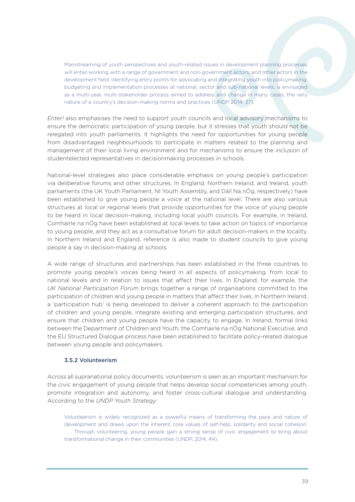Mainstreaming of youth perspectives and youth-related issues in development planning processes will entail working with a range of government and non-government actors, and other actors in the development field. Identifying entry points for advocating and integrating youth into policymaking, budgeting and implementation processes at national, sector and sub-national levels, is envisaged as a multi-year, multi-stakeholder process aimed to address and change in many cases, the very nature of a country's decision-making norms and practices (UNDP 2014: 37).

*Enter!* also emphasises the need to support youth councils and local advisory mechanisms to ensure the democratic participation of young people, but it stresses that youth should not be relegated into youth parliaments. It highlights the need for opportunities for young people from disadvantaged neighbourhoods to participate in matters related to the planning and management of their local living environment and for mechanisms to ensure the inclusion of studentelected representatives in decisionmaking processes in schools.

National-level strategies also place considerable emphasis on young people's participation via deliberative forums and other structures. In England, Northern Ireland, and Ireland, youth parliaments (the UK Youth Parliament, NI Youth Assembly, and Dáil Na nÓg, respectively) have been established to give young people a voice at the national level. There are also various structures at local or regional levels that provide opportunities for the voice of young people to be heard in local decision-making, including local youth councils. For example, in Ireland, Comhairle na nÓg have been established at local levels to take action on topics of importance to young people, and they act as a consultative forum for adult decision-makers in the locality. In Northern Ireland and England, reference is also made to student councils to give young people a say in decision-making at schools.

A wide range of structures and partnerships has been established in the three countries to promote young people's voices being heard in all aspects of policymaking, from local to national levels and in relation to issues that affect their lives. In England, for example, the *UK National Participation Forum* brings together a range of organisations committed to the participation of children and young people in matters that affect their lives. In Northern Ireland, a 'participation hub' is being developed to deliver a coherent approach to the participation of children and young people, integrate existing and emerging participation structures, and ensure that children and young people have the capacity to engage. In Ireland, formal links between the Department of Children and Youth, the Comhairle na nÓg National Executive, and the EU Structured Dialogue process have been established to facilitate policy-related dialogue between young people and policymakers.

#### 3.5.2 Volunteerism

Across all supranational policy documents, volunteerism is seen as an important mechanism for the civic engagement of young people that helps develop social competencies among youth, promote integration and autonomy, and foster cross-cultural dialogue and understanding. According to the *UNDP Youth Strategy*:

Volunteerism is widely recognized as a powerful means of transforming the pace and nature of development and draws upon the inherent core values of self-help, solidarity and social cohesion. . . . Through volunteering, young people gain a strong sense of civic engagement to bring about transformational change in their communities (UNDP, 2014: 44).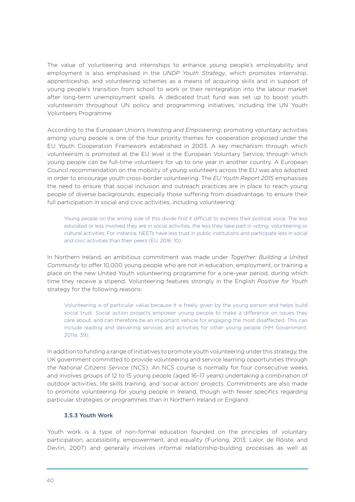The value of volunteering and internships to enhance young people's employability and employment is also emphasised in the *UNDP Youth Strategy*, which promotes internship, apprenticeship, and volunteering schemes as a means of acquiring skills and in support of young people's transition from school to work or their reintegration into the labour market after long-term unemployment spells. A dedicated trust fund was set up to boost youth volunteerism throughout UN policy and programming initiatives, including the UN Youth Volunteers Programme.

According to the European Union's *Investing and Empowering*, promoting voluntary activities among young people is one of the four priority themes for cooperation proposed under the EU Youth Cooperation Framework established in 2003. A key mechanism through which volunteerism is promoted at the EU level is the European Voluntary Service, through which young people can be full-time volunteers for up to one year in another country. A European Council recommendation on the mobility of young volunteers across the EU was also adopted in order to encourage youth cross-border volunteering. The *EU Youth Report 2015* emphasises the need to ensure that social inclusion and outreach practices are in place to reach young people of diverse backgrounds, especially those suffering from disadvantage, to ensure their full participation in social and civic activities, including volunteering:

Young people on the wrong side of this divide find it difficult to express their political voice. The less educated or less involved they are in social activities, the less they take part in voting, volunteering or cultural activities. For instance, NEETs have less trust in public institutions and participate less in social and civic activities than their peers (EU, 2016: 10).

In Northern Ireland, an ambitious commitment was made under *Together: Building a United Community* to offer 10,000 young people who are not in education, employment, or training a place on the new United Youth volunteering programme for a one-year period, during which time they receive a stipend. Volunteering features strongly in the English *Positive for Youth* strategy for the following reasons:

Volunteering is of particular value because it is freely given by the young person and helps build social trust. Social action projects empower young people to make a difference on issues they care about, and can therefore be an important vehicle for engaging the most disaffected. This can include leading and delivering services and activities for other young people (HM Government, 2011a: 39).

In addition to funding a range of initiatives to promote youth volunteering under this strategy, the UK government committed to provide volunteering and service learning opportunities through the *National Citizens Service* (NCS). An NCS course is normally for four consecutive weeks and involves groups of 12 to 15 young people (aged 16–17 years) undertaking a combination of outdoor activities, life skills training, and 'social action' projects. Commitments are also made to promote volunteering for young people in Ireland, though with fewer specifics regarding particular strategies or programmes than in Northern Ireland or England.

#### 3.5.3 Youth Work

Youth work is a type of non-formal education founded on the principles of voluntary participation, accessibility, empowerment, and equality (Furlong, 2013; Lalor, de Róiste, and Devlin, 2007) and generally involves informal relationship-building processes as well as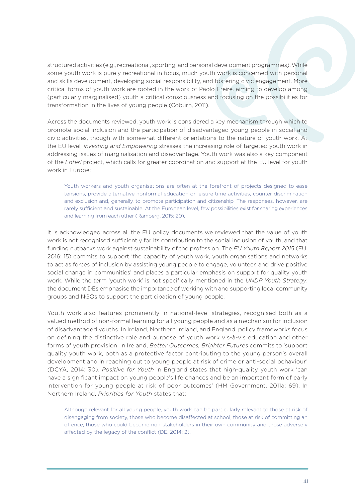structured activities (e.g., recreational, sporting, and personal development programmes). While some youth work is purely recreational in focus, much youth work is concerned with personal and skills development, developing social responsibility, and fostering civic engagement. More critical forms of youth work are rooted in the work of Paolo Freire, aiming to develop among (particularly marginalised) youth a critical consciousness and focusing on the possibilities for transformation in the lives of young people (Coburn, 2011).

Across the documents reviewed, youth work is considered a key mechanism through which to promote social inclusion and the participation of disadvantaged young people in social and civic activities, though with somewhat different orientations to the nature of youth work. At the EU level, *Investing and Empowering* stresses the increasing role of targeted youth work in addressing issues of marginalisation and disadvantage. Youth work was also a key component of the *Enter!* project, which calls for greater coordination and support at the EU level for youth work in Europe:

Youth workers and youth organisations are often at the forefront of projects designed to ease tensions, provide alternative nonformal education or leisure time activities, counter discrimination and exclusion and, generally, to promote participation and citizenship. The responses, however, are rarely sufficient and sustainable. At the European level, few possibilities exist for sharing experiences and learning from each other (Ramberg, 2015: 20).

It is acknowledged across all the EU policy documents we reviewed that the value of youth work is not recognised sufficiently for its contribution to the social inclusion of youth, and that funding cutbacks work against sustainability of the profession. The *EU Youth Report 2015* (EU, 2016: 15) commits to support 'the capacity of youth work, youth organisations and networks to act as forces of inclusion by assisting young people to engage, volunteer, and drive positive social change in communities' and places a particular emphasis on support for quality youth work. While the term 'youth work' is not specifically mentioned in the *UNDP Youth Strategy*, the document DEs emphasise the importance of working with and supporting local community groups and NGOs to support the participation of young people.

Youth work also features prominently in national-level strategies, recognised both as a valued method of non-formal learning for all young people and as a mechanism for inclusion of disadvantaged youths. In Ireland, Northern Ireland, and England, policy frameworks focus on defining the distinctive role and purpose of youth work vis-à-vis education and other forms of youth provision. In Ireland, *Better Outcomes, Brighter Futures* commits to 'support quality youth work, both as a protective factor contributing to the young person's overall development and in reaching out to young people at risk of crime or anti-social behaviour' (DCYA, 2014: 30). *Positive for Youth* in England states that high-quality youth work 'can have a significant impact on young people's life chances and be an important form of early intervention for young people at risk of poor outcomes' (HM Government, 2011a: 69). In Northern Ireland, *Priorities for Youth* states that:

Although relevant for all young people, youth work can be particularly relevant to those at risk of disengaging from society, those who become disaffected at school, those at risk of committing an offence, those who could become non-stakeholders in their own community and those adversely affected by the legacy of the conflict (DE, 2014: 2).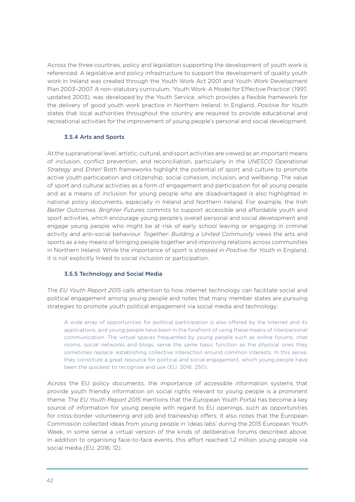Across the three countries, policy and legislation supporting the development of youth work is referenced. A legislative and policy infrastructure to support the development of quality youth work in Ireland was created through the Youth Work Act 2001 and Youth Work Development Plan 2003–2007. A non-statutory curriculum, 'Youth Work: A Model for Effective Practice' (1997, updated 2003), was developed by the Youth Service, which provides a flexible framework for the delivery of good youth work practice in Northern Ireland. In England, *Positive for Youth* states that local authorities throughout the country are required to provide educational and recreational activities for the improvement of young people's personal and social development.

#### 3.5.4 Arts and Sports

At the supranational level, artistic, cultural, and sport activities are viewed as an important means of inclusion, conflict prevention, and reconciliation, particularly in the *UNESCO Operational Strategy* and *Enter!* Both frameworks highlight the potential of sport and culture to promote active youth participation and citizenship, social cohesion, inclusion, and wellbeing. The value of sport and cultural activities as a form of engagement and participation for all young people and as a means of inclusion for young people who are disadvantaged is also highlighted in national policy documents, especially in Ireland and Northern Ireland. For example, the Irish *Better Outcomes, Brighter Futures* commits to support accessible and affordable youth and sport activities, which encourage young people's overall personal and social development and engage young people who might be at risk of early school leaving or engaging in criminal activity and anti-social behaviour. *Together: Building a United Community* views the arts and sports as a key means of bringing people together and improving relations across communities in Northern Ireland. While the importance of sport is stressed in *Positive for Youth* in England, it is not explicitly linked to social inclusion or participation.

#### 3.5.5 Technology and Social Media

The *EU Youth Report 2015* calls attention to how internet technology can facilitate social and political engagement among young people and notes that many member states are pursuing strategies to promote youth political engagement via social media and technology:

A wide array of opportunities for political participation is also offered by the Internet and its applications, and young people have been in the forefront of using these means of interpersonal communication. The virtual spaces frequented by young people such as online forums, chat rooms, social networks and blogs, serve the same basic function as the physical ones they sometimes replace: establishing collective interaction around common interests. In this sense, they constitute a great resource for political and social engagement, which young people have been the quickest to recognise and use (EU, 2016: 250).

Across the EU policy documents, the importance of accessible information systems that provide youth friendly information on social rights relevant to young people is a prominent theme. The *EU Youth Report 2015* mentions that the European Youth Portal has become a key source of information for young people with regard to EU openings, such as opportunities for cross-border volunteering and job and traineeship offers. It also notes that the European Commission collected ideas from young people in 'ideas labs' during the 2015 European Youth Week, in some sense a virtual version of the kinds of deliberative forums described above. In addition to organising face-to-face events, this effort reached 1.2 million young people via social media (EU, 2016: 12).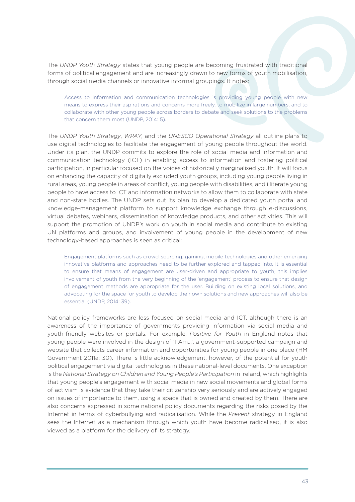The *UNDP Youth Strategy* states that young people are becoming frustrated with traditional forms of political engagement and are increasingly drawn to new forms of youth mobilisation, through social media channels or innovative informal groupings. It notes:

Access to information and communication technologies is providing young people with new means to express their aspirations and concerns more freely, to mobilize in large numbers, and to collaborate with other young people across borders to debate and seek solutions to the problems that concern them most (UNDP, 2014: 5).

The *UNDP Youth Strategy*, *WPAY*, and the *UNESCO Operational Strategy* all outline plans to use digital technologies to facilitate the engagement of young people throughout the world. Under its plan, the UNDP commits to explore the role of social media and information and communication technology (ICT) in enabling access to information and fostering political participation, in particular focused on the voices of historically marginalised youth. It will focus on enhancing the capacity of digitally excluded youth groups, including young people living in rural areas, young people in areas of conflict, young people with disabilities, and illiterate young people to have access to ICT and information networks to allow them to collaborate with state and non-state bodies. The UNDP sets out its plan to develop a dedicated youth portal and knowledge-management platform to support knowledge exchange through e-discussions, virtual debates, webinars, dissemination of knowledge products, and other activities. This will support the promotion of UNDP's work on youth in social media and contribute to existing UN platforms and groups, and involvement of young people in the development of new technology-based approaches is seen as critical:

Engagement platforms such as crowd-sourcing, gaming, mobile technologies and other emerging innovative platforms and approaches need to be further explored and tapped into. It is essential to ensure that means of engagement are user-driven and appropriate to youth; this implies involvement of youth from the very beginning of the 'engagement' process to ensure that design of engagement methods are appropriate for the user. Building on existing local solutions, and advocating for the space for youth to develop their own solutions and new approaches will also be essential (UNDP, 2014: 39).

National policy frameworks are less focused on social media and ICT, although there is an awareness of the importance of governments providing information via social media and youth-friendly websites or portals. For example, *Positive for Youth* in England notes that young people were involved in the design of 'I Am…', a government-supported campaign and website that collects career information and opportunities for young people in one place (HM Government 2011a: 30). There is little acknowledgement, however, of the potential for youth political engagement via digital technologies in these national-level documents. One exception is the *National Strategy on Children and Young People's Participation* in Ireland, which highlights that young people's engagement with social media in new social movements and global forms of activism is evidence that they take their citizenship very seriously and are actively engaged on issues of importance to them, using a space that is owned and created by them. There are also concerns expressed in some national policy documents regarding the risks posed by the Internet in terms of cyberbullying and radicalisation. While the *Prevent* strategy in England sees the Internet as a mechanism through which youth have become radicalised, it is also viewed as a platform for the delivery of its strategy.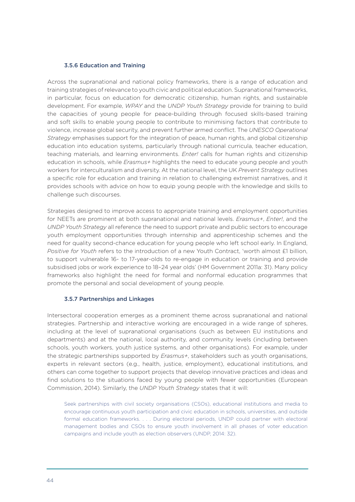#### 3.5.6 Education and Training

Across the supranational and national policy frameworks, there is a range of education and training strategies of relevance to youth civic and political education. Supranational frameworks, in particular, focus on education for democratic citizenship, human rights, and sustainable development. For example, *WPAY* and the *UNDP Youth Strategy* provide for training to build the capacities of young people for peace-building through focused skills-based training and soft skills to enable young people to contribute to minimising factors that contribute to violence, increase global security, and prevent further armed conflict. The *UNESCO Operational Strategy* emphasises support for the integration of peace, human rights, and global citizenship education into education systems, particularly through national curricula, teacher education, teaching materials, and learning environments. *Enter!* calls for human rights and citizenship education in schools, while *Erasmus+* highlights the need to educate young people and youth workers for interculturalism and diversity. At the national level, the UK *Prevent Strategy* outlines a specific role for education and training in relation to challenging extremist narratives, and it provides schools with advice on how to equip young people with the knowledge and skills to challenge such discourses.

Strategies designed to improve access to appropriate training and employment opportunities for NEETs are prominent at both supranational and national levels. *Erasmus+*, *Enter!*, and the *UNDP Youth Strategy* all reference the need to support private and public sectors to encourage youth employment opportunities through internship and apprenticeship schemes and the need for quality second-chance education for young people who left school early. In England, *Positive for Youth* refers to the introduction of a new Youth Contract, 'worth almost £1 billion, to support vulnerable 16- to 17-year-olds to re-engage in education or training and provide subsidised jobs or work experience to 18–24 year olds' (HM Government 2011a: 31). Many policy frameworks also highlight the need for formal and nonformal education programmes that promote the personal and social development of young people.

#### 3.5.7 Partnerships and Linkages

Intersectoral cooperation emerges as a prominent theme across supranational and national strategies. Partnership and interactive working are encouraged in a wide range of spheres, including at the level of supranational organisations (such as between EU institutions and departments) and at the national, local authority, and community levels (including between schools, youth workers, youth justice systems, and other organisations). For example, under the strategic partnerships supported by *Erasmus+*, stakeholders such as youth organisations, experts in relevant sectors (e.g., health, justice, employment), educational institutions, and others can come together to support projects that develop innovative practices and ideas and find solutions to the situations faced by young people with fewer opportunities (European Commission, 2014). Similarly, the *UNDP Youth Strategy* states that it will:

Seek partnerships with civil society organisations (CSOs), educational institutions and media to encourage continuous youth participation and civic education in schools, universities, and outside formal education frameworks. . . . During electoral periods, UNDP could partner with electoral management bodies and CSOs to ensure youth involvement in all phases of voter education campaigns and include youth as election observers (UNDP, 2014: 32).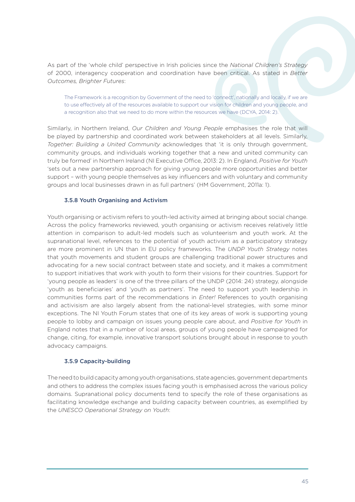As part of the 'whole child' perspective in Irish policies since the *National Children's Strategy* of 2000, interagency cooperation and coordination have been critical. As stated in *Better Outcomes, Brighter Futures*:

The Framework is a recognition by Government of the need to 'connect', nationally and locally, if we are to use effectively all of the resources available to support our vision for children and young people, and a recognition also that we need to do more within the resources we have (DCYA, 2014: 2).

Similarly, in Northern Ireland, *Our Children and Young People* emphasises the role that will be played by partnership and coordinated work between stakeholders at all levels. Similarly, *Together: Building a United Community* acknowledges that 'it is only through government, community groups, and individuals working together that a new and united community can truly be formed' in Northern Ireland (NI Executive Office, 2013: 2). In England, *Positive for Youth* 'sets out a new partnership approach for giving young people more opportunities and better support – with young people themselves as key influencers and with voluntary and community groups and local businesses drawn in as full partners' (HM Government, 2011a: 1).

#### 3.5.8 Youth Organising and Activism

Youth organising or activism refers to youth-led activity aimed at bringing about social change. Across the policy frameworks reviewed, youth organising or activism receives relatively little attention in comparison to adult-led models such as volunteerism and youth work. At the supranational level, references to the potential of youth activism as a participatory strategy are more prominent in UN than in EU policy frameworks. The *UNDP Youth Strategy* notes that youth movements and student groups are challenging traditional power structures and advocating for a new social contract between state and society, and it makes a commitment to support initiatives that work with youth to form their visions for their countries. Support for 'young people as leaders' is one of the three pillars of the UNDP (2014: 24) strategy, alongside 'youth as beneficiaries' and 'youth as partners'. The need to support youth leadership in communities forms part of the recommendations in *Enter!* References to youth organising and activisism are also largely absent from the national-level strategies, with some minor exceptions. The NI Youth Forum states that one of its key areas of work is supporting young people to lobby and campaign on issues young people care about, and *Positive for Youth* in England notes that in a number of local areas, groups of young people have campaigned for change, citing, for example, innovative transport solutions brought about in response to youth advocacy campaigns.

#### 3.5.9 Capacity-building

The need to build capacity among youth organisations, state agencies, government departments and others to address the complex issues facing youth is emphasised across the various policy domains. Supranational policy documents tend to specify the role of these organisations as facilitating knowledge exchange and building capacity between countries, as exemplified by the *UNESCO Operational Strategy on Youth*: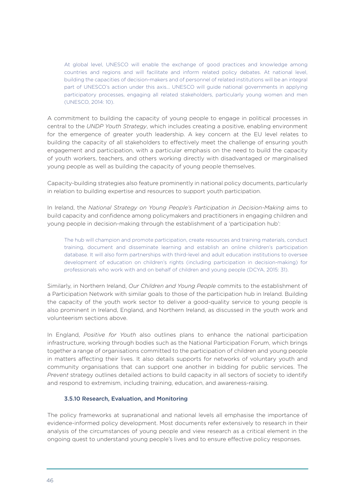At global level, UNESCO will enable the exchange of good practices and knowledge among countries and regions and will facilitate and inform related policy debates. At national level, building the capacities of decision-makers and of personnel of related institutions will be an integral part of UNESCO's action under this axis... UNESCO will guide national governments in applying participatory processes, engaging all related stakeholders, particularly young women and men (UNESCO, 2014: 10).

A commitment to building the capacity of young people to engage in political processes in central to the *UNDP Youth Strategy*, which includes creating a positive, enabling environment for the emergence of greater youth leadership. A key concern at the EU level relates to building the capacity of all stakeholders to effectively meet the challenge of ensuring youth engagement and participation, with a particular emphasis on the need to build the capacity of youth workers, teachers, and others working directly with disadvantaged or marginalised young people as well as building the capacity of young people themselves.

Capacity-building strategies also feature prominently in national policy documents, particularly in relation to building expertise and resources to support youth participation.

In Ireland, the *National Strategy on Young People's Participation in Decision-Making* aims to build capacity and confidence among policymakers and practitioners in engaging children and young people in decision-making through the establishment of a 'participation hub':

The hub will champion and promote participation, create resources and training materials, conduct training, document and disseminate learning and establish an online children's participation database. It will also form partnerships with third-level and adult education institutions to oversee development of education on children's rights (including participation in decision-making) for professionals who work with and on behalf of children and young people (DCYA, 2015: 31).

Similarly, in Northern Ireland, *Our Children and Young People* commits to the establishment of a Participation Network with similar goals to those of the participation hub in Ireland. Building the capacity of the youth work sector to deliver a good-quality service to young people is also prominent in Ireland, England, and Northern Ireland, as discussed in the youth work and volunteerism sections above.

In England, *Positive for Youth* also outlines plans to enhance the national participation infrastructure, working through bodies such as the National Participation Forum, which brings together a range of organisations committed to the participation of children and young people in matters affecting their lives. It also details supports for networks of voluntary youth and community organisations that can support one another in bidding for public services. The *Prevent* strategy outlines detailed actions to build capacity in all sectors of society to identify and respond to extremism, including training, education, and awareness-raising.

#### 3.5.10 Research, Evaluation, and Monitoring

The policy frameworks at supranational and national levels all emphasise the importance of evidence-informed policy development. Most documents refer extensively to research in their analysis of the circumstances of young people and view research as a critical element in the ongoing quest to understand young people's lives and to ensure effective policy responses.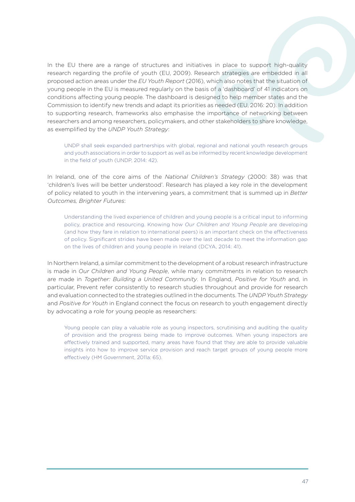In the EU there are a range of structures and initiatives in place to support high-quality research regarding the profile of youth (EU, 2009). Research strategies are embedded in all proposed action areas under the *EU Youth Report* (2016), which also notes that the situation of young people in the EU is measured regularly on the basis of a 'dashboard' of 41 indicators on conditions affecting young people. The dashboard is designed to help member states and the Commission to identify new trends and adapt its priorities as needed (EU, 2016: 20). In addition to supporting research, frameworks also emphasise the importance of networking between researchers and among researchers, policymakers, and other stakeholders to share knowledge, as exemplified by the *UNDP Youth Strategy*:

UNDP shall seek expanded partnerships with global, regional and national youth research groups and youth associations in order to support as well as be informed by recent knowledge development in the field of youth (UNDP, 2014: 42).

In Ireland, one of the core aims of the *National Children's Strategy* (2000: 38) was that 'children's lives will be better understood'. Research has played a key role in the development of policy related to youth in the intervening years, a commitment that is summed up in *Better Outcomes, Brighter Futures*:

Understanding the lived experience of children and young people is a critical input to informing policy, practice and resourcing. Knowing how *Our Children and Young People* are developing (and how they fare in relation to international peers) is an important check on the effectiveness of policy. Significant strides have been made over the last decade to meet the information gap on the lives of children and young people in Ireland (DCYA, 2014: 41).

In Northern Ireland, a similar commitment to the development of a robust research infrastructure is made in *Our Children and Young People*, while many commitments in relation to research are made in *Together: Building a United Community*. In England, *Positive for Youth* and, in particular, Prevent refer consistently to research studies throughout and provide for research and evaluation connected to the strategies outlined in the documents. The *UNDP Youth Strategy* and *Positive for Youth* in England connect the focus on research to youth engagement directly by advocating a role for young people as researchers:

Young people can play a valuable role as young inspectors, scrutinising and auditing the quality of provision and the progress being made to improve outcomes. When young inspectors are effectively trained and supported, many areas have found that they are able to provide valuable insights into how to improve service provision and reach target groups of young people more effectively (HM Government, 2011a: 65).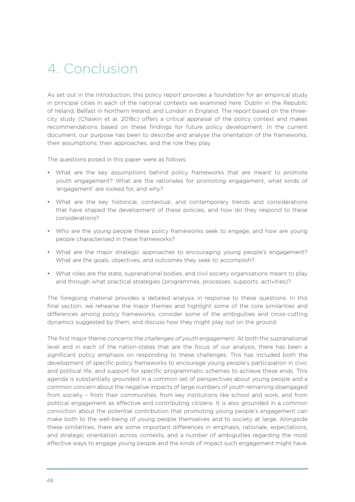## 4. Conclusion

As set out in the introduction, this policy report provides a foundation for an empirical study in principal cities in each of the national contexts we examined here: Dublin in the Republic of Ireland, Belfast in Northern Ireland, and London in England. The report based on the threecity study (Chaskin et al. 2018c) offers a critical appraisal of the policy context and makes recommendations based on these findings for future policy development. In the current document, our purpose has been to describe and analyse the orientation of the frameworks, their assumptions, their approaches, and the role they play.

The questions posed in this paper were as follows:

- What are the key assumptions behind policy frameworks that are meant to promote youth engagement? What are the rationales for promoting engagement, what kinds of 'engagement' are looked for, and why?
- What are the key historical, contextual, and contemporary trends and considerations that have shaped the development of these policies, and how do they respond to these considerations?
- Who are the young people these policy frameworks seek to engage, and how are young people characterised in these frameworks?
- What are the major strategic approaches to encouraging young people's engagement? What are the goals, objectives, and outcomes they seek to accomplish?
- What roles are the state, supranational bodies, and civil society organisations meant to play and through what practical strategies (programmes, processes, supports, activities)?

The foregoing material provides a detailed analysis in response to these questions. In this final section, we rehearse the major themes and highlight some of the core similarities and differences among policy frameworks, consider some of the ambiguities and cross-cutting dynamics suggested by them, and discuss how they might play out on the ground.

The first major theme concerns the *challenges of youth engagement.* At both the supranational level and in each of the nation-states that are the focus of our analysis, there has been a significant policy emphasis on responding to these challenges. This has included both the development of specific policy frameworks to encourage young people's participation in civic and political life, and support for specific programmatic schemes to achieve these ends. This agenda is substantially grounded in a common set of perspectives about young people and a common concern about the negative impacts of large numbers of youth remaining disengaged from society – from their communities, from key institutions like school and work, and from political engagement as effective and contributing citizens. It is also grounded in a common conviction about the potential contribution that promoting young people's engagement can make both to the well-being of young people themselves and to society at large. Alongside these similarities, there are some important differences in emphasis, rationale, expectations, and strategic orientation across contexts, and a number of ambiguities regarding the most effective ways to engage young people and the kinds of impact such engagement might have.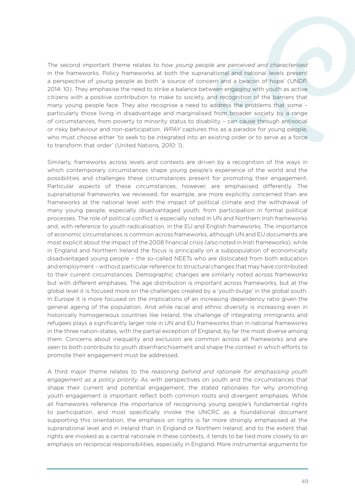The second important theme relates to *how young people are perceived and characterised*  in the frameworks. Policy frameworks at both the supranational and national levels present a perspective of young people as both 'a source of concern and a beacon of hope' (UNDP, 2014: 10). They emphasise the need to strike a balance between engaging with youth as active citizens with a positive contribution to make to society, and recognition of the barriers that many young people face. They also recognise a need to address the problems that some – particularly those living in disadvantage and marginalised from broader society by a range of circumstances, from poverty to minority status to disability – can cause through antisocial or risky behaviour and non-participation. *WPAY* captures this as a paradox for young people, who must choose either 'to seek to be integrated into an existing order or to serve as a force to transform that order' (United Nations, 2010: 1).

Similarly, frameworks across levels and contexts are driven by a recognition of the ways in which contemporary circumstances shape young people's experience of the world and the possibilities and challenges these circumstances present for promoting their engagement. Particular aspects of these circumstances, however, are emphasised differently. The supranational frameworks we reviewed, for example, are more explicitly concerned than are frameworks at the national level with the impact of political climate and the withdrawal of many young people, especially disadvantaged youth, from participation in formal political processes. The role of political conflict is especially noted in UN and Northern Irish frameworks and, with reference to youth radicalisation, in the EU and English frameworks. The importance of economic circumstances is common across frameworks, although UN and EU documents are most explicit about the impact of the 2008 financial crisis (also noted in Irish frameworks), while in England and Northern Ireland the focus is principally on a subpopulation of economically disadvantaged young people – the so-called NEETs who are dislocated from both education and employment – without particular reference to structural changes that may have contributed to their current circumstances. Demographic changes are similarly noted across frameworks but with different emphases. The age distribution is important across frameworks, but at the global level it is focused more on the challenges created by a 'youth bulge' in the global south. In Europe it is more focused on the implications of an increasing dependency ratio given the general ageing of the population. And while racial and ethnic diversity is increasing even in historically homogeneous countries like Ireland, the challenge of integrating immigrants and refugees plays a significantly larger role in UN and EU frameworks than in national frameworks in the three nation-states, with the partial exception of England, by far the most diverse among them. Concerns about inequality and exclusion are common across all frameworks and are seen to both contribute to youth disenfranchisement and shape the context in which efforts to promote their engagement must be addressed.

A third major theme relates to the *reasoning behind and rationale for emphasising youth engagement as a policy priority.* As with perspectives on youth and the circumstances that shape their current and potential engagement, the stated rationales for why promoting youth engagement is important reflect both common roots and divergent emphases. While all frameworks reference the importance of recognising young people's fundamental rights to participation, and most specifically invoke the UNCRC as a foundational document supporting this orientation, the emphasis on rights is far more strongly emphasised at the supranational level and in Ireland than in England or Northern Ireland; and to the extent that rights are invoked as a central rationale in these contexts, it tends to be tied more closely to an emphasis on reciprocal responsibilities, especially in England. More instrumental arguments for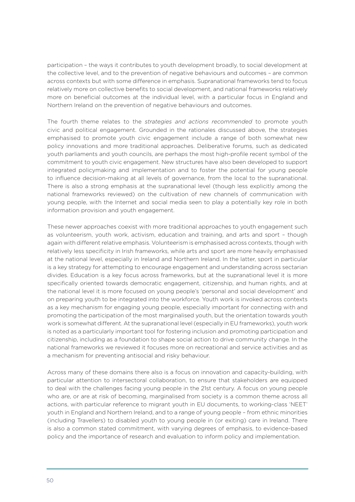participation – the ways it contributes to youth development broadly, to social development at the collective level, and to the prevention of negative behaviours and outcomes – are common across contexts but with some difference in emphasis. Supranational frameworks tend to focus relatively more on collective benefits to social development, and national frameworks relatively more on beneficial outcomes at the individual level, with a particular focus in England and Northern Ireland on the prevention of negative behaviours and outcomes.

The fourth theme relates to the *strategies and actions recommended* to promote youth civic and political engagement. Grounded in the rationales discussed above, the strategies emphasised to promote youth civic engagement include a range of both somewhat new policy innovations and more traditional approaches. Deliberative forums, such as dedicated youth parliaments and youth councils, are perhaps the most high-profile recent symbol of the commitment to youth civic engagement. New structures have also been developed to support integrated policymaking and implementation and to foster the potential for young people to influence decision-making at all levels of governance, from the local to the supranational. There is also a strong emphasis at the supranational level (though less explicitly among the national frameworks reviewed) on the cultivation of new channels of communication with young people, with the Internet and social media seen to play a potentially key role in both information provision and youth engagement.

These newer approaches coexist with more traditional approaches to youth engagement such as volunteerism, youth work, activism, education and training, and arts and sport – though again with different relative emphasis. Volunteerism is emphasised across contexts, though with relatively less specificity in Irish frameworks, while arts and sport are more heavily emphasised at the national level, especially in Ireland and Northern Ireland. In the latter, sport in particular is a key strategy for attempting to encourage engagement and understanding across sectarian divides. Education is a key focus across frameworks, but at the supranational level it is more specifically oriented towards democratic engagement, citizenship, and human rights, and at the national level it is more focused on young people's 'personal and social development' and on preparing youth to be integrated into the workforce. Youth work is invoked across contexts as a key mechanism for engaging young people, especially important for connecting with and promoting the participation of the most marginalised youth, but the orientation towards youth work is somewhat different. At the supranational level (especially in EU frameworks), youth work is noted as a particularly important tool for fostering inclusion and promoting participation and citizenship, including as a foundation to shape social action to drive community change. In the national frameworks we reviewed it focuses more on recreational and service activities and as a mechanism for preventing antisocial and risky behaviour.

Across many of these domains there also is a focus on innovation and capacity-building, with particular attention to intersectoral collaboration, to ensure that stakeholders are equipped to deal with the challenges facing young people in the 21st century. A focus on young people who are, or are at risk of becoming, marginalised from society is a common theme across all actions, with particular reference to migrant youth in EU documents, to working-class 'NEET' youth in England and Northern Ireland, and to a range of young people – from ethnic minorities (including Travellers) to disabled youth to young people in (or exiting) care in Ireland. There is also a common stated commitment, with varying degrees of emphasis, to evidence-based policy and the importance of research and evaluation to inform policy and implementation.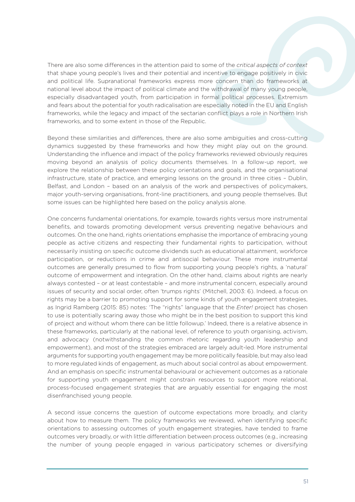There are also some differences in the attention paid to some of the *critical aspects of context*  that shape young people's lives and their potential and incentive to engage positively in civic and political life. Supranational frameworks express more concern than do frameworks at national level about the impact of political climate and the withdrawal of many young people, especially disadvantaged youth, from participation in formal political processes. Extremism and fears about the potential for youth radicalisation are especially noted in the EU and English frameworks, while the legacy and impact of the sectarian conflict plays a role in Northern Irish frameworks, and to some extent in those of the Republic.

Beyond these similarities and differences, there are also some ambiguities and cross-cutting dynamics suggested by these frameworks and how they might play out on the ground. Understanding the influence and impact of the policy frameworks reviewed obviously requires moving beyond an analysis of policy documents themselves. In a follow-up report, we explore the relationship between these policy orientations and goals, and the organisational infrastructure, state of practice, and emerging lessons on the ground in three cities – Dublin, Belfast, and London – based on an analysis of the work and perspectives of policymakers, major youth-serving organisations, front-line practitioners, and young people themselves. But some issues can be highlighted here based on the policy analysis alone.

One concerns fundamental orientations, for example, towards rights versus more instrumental benefits, and towards promoting development versus preventing negative behaviours and outcomes. On the one hand, rights orientations emphasise the importance of embracing young people as active citizens and respecting their fundamental rights to participation, without necessarily insisting on specific outcome dividends such as educational attainment, workforce participation, or reductions in crime and antisocial behaviour. These more instrumental outcomes are generally presumed to flow from supporting young people's rights, a 'natural' outcome of empowerment and integration. On the other hand, claims about rights are nearly always contested – or at least contestable – and more instrumental concern, especially around issues of security and social order, often 'trumps rights' (Mitchell, 2003: 6). Indeed, a focus on rights may be a barrier to promoting support for some kinds of youth engagement strategies, as Ingrid Ramberg (2015: 85) notes: 'The "rights" language that the *Enter!* project has chosen to use is potentially scaring away those who might be in the best position to support this kind of project and without whom there can be little followup.' Indeed, there is a relative absence in these frameworks, particularly at the national level, of reference to youth organising, activism, and advocacy (notwithstanding the common rhetoric regarding youth leadership and empowerment), and most of the strategies embraced are largely adult-led. More instrumental arguments for supporting youth engagement may be more politically feasible, but may also lead to more regulated kinds of engagement, as much about social control as about empowerment. And an emphasis on specific instrumental behavioural or achievement outcomes as a rationale for supporting youth engagement might constrain resources to support more relational, process-focused engagement strategies that are arguably essential for engaging the most disenfranchised young people.

A second issue concerns the question of outcome expectations more broadly, and clarity about how to measure them. The policy frameworks we reviewed, when identifying specific orientations to assessing outcomes of youth engagement strategies, have tended to frame outcomes very broadly, or with little differentiation between process outcomes (e.g., increasing the number of young people engaged in various participatory schemes or diversifying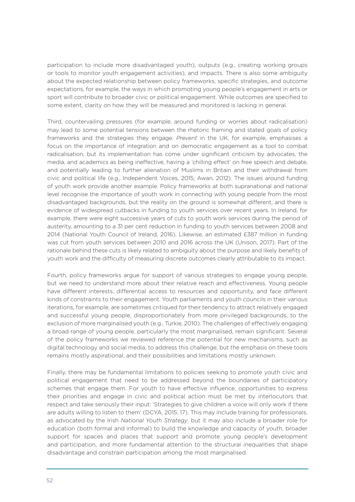participation to include more disadvantaged youth), outputs (e.g., creating working groups or tools to monitor youth engagement activities), and impacts. There is also some ambiguity about the expected relationship between policy frameworks, specific strategies, and outcome expectations, for example, the ways in which promoting young people's engagement in arts or sport will contribute to broader civic or political engagement. While outcomes are specified to some extent, clarity on how they will be measured and monitored is lacking in general.

Third, countervailing pressures (for example, around funding or worries about radicalisation) may lead to some potential tensions between the rhetoric framing and stated goals of policy frameworks and the strategies they engage. *Prevent* in the UK, for example, emphasises a focus on the importance of integration and on democratic engagement as a tool to combat radicalisation, but its implementation has come under significant criticism by advocates, the media, and academics as being ineffective, having a 'chilling effect' on free speech and debate, and potentially leading to further alienation of Muslims in Britain and their withdrawal from civic and political life (e.g., Independent Voices, 2015; Awan, 2012). The issues around funding of youth work provide another example. Policy frameworks at both supranational and national level recognise the importance of youth work in connecting with young people from the most disadvantaged backgrounds, but the reality on the ground is somewhat different, and there is evidence of widespread cutbacks in funding to youth services over recent years. In Ireland, for example, there were eight successive years of cuts to youth work services during the period of austerity, amounting to a 31 per cent reduction in funding to youth services between 2008 and 2014 (National Youth Council of Ireland, 2016). Likewise, an estimated £387 million in funding was cut from youth services between 2010 and 2016 across the UK (Unison, 2017). Part of the rationale behind these cuts is likely related to ambiguity about the purpose and likely benefits of youth work and the difficulty of measuring discrete outcomes clearly attributable to its impact.

Fourth, policy frameworks argue for support of various strategies to engage young people, but we need to understand more about their relative reach and effectiveness. Young people have different interests, differential access to resources and opportunity, and face different kinds of constraints to their engagement. Youth parliaments and youth councils in their various iterations, for example, are sometimes critiqued for their tendency to attract relatively engaged and successful young people, disproportionately from more privileged backgrounds, to the exclusion of more marginalised youth (e.g., Turkie, 2010). The challenges of effectively engaging a broad range of young people, particularly the most marginalised, remain significant. Several of the policy frameworks we reviewed reference the potential for new mechanisms, such as digital technology and social media, to address this challenge, but the emphasis on these tools remains mostly aspirational, and their possibilities and limitations mostly unknown.

Finally, there may be fundamental limitations to policies seeking to promote youth civic and political engagement that need to be addressed beyond the boundaries of participatory schemes that engage them. For youth to have effective influence, opportunities to express their priorities and engage in civic and political action must be met by interlocutors that respect and take seriously their input: 'Strategies to give children a voice will only work if there are adults willing to listen to them' (DCYA, 2015: 17). This may include training for professionals, as advocated by the Irish *National Youth Strategy*, but it may also include a broader role for education (both formal and informal) to build the knowledge and capacity of youth, broader support for spaces and places that support and promote young people's development and participation, and more fundamental attention to the structural inequalities that shape disadvantage and constrain participation among the most marginalised.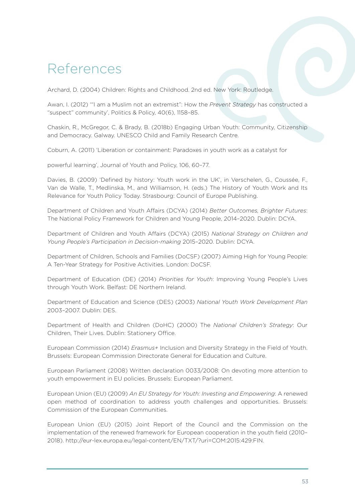## References

Archard, D. (2004) Children: Rights and Childhood. 2nd ed. New York: Routledge.

Awan, I. (2012) '"I am a Muslim not an extremist": How the *Prevent Strategy* has constructed a "suspect" community', Politics & Policy, 40(6), 1158–85.

Chaskin, R., McGregor, C. & Brady, B. (2018b) Engaging Urban Youth: Community, Citizenship and Democracy. Galway. UNESCO Child and Family Research Centre.

Coburn, A. (2011) 'Liberation or containment: Paradoxes in youth work as a catalyst for

powerful learning', Journal of Youth and Policy, 106, 60–77.

Davies, B. (2009) 'Defined by history: Youth work in the UK', in Verschelen, G., Coussée, F., Van de Walle, T., Medlinska, M., and Williamson, H. (eds.) The History of Youth Work and Its Relevance for Youth Policy Today. Strasbourg: Council of Europe Publishing.

Department of Children and Youth Affairs (DCYA) (2014) *Better Outcomes, Brighter Futures*: The National Policy Framework for Children and Young People, 2014–2020. Dublin: DCYA.

Department of Children and Youth Affairs (DCYA) (2015) *National Strategy on Children and Young People's Participation in Decision-making* 2015–2020. Dublin: DCYA.

Department of Children, Schools and Families (DoCSF) (2007) Aiming High for Young People: A Ten-Year Strategy for Positive Activities. London: DoCSF.

Department of Education (DE) (2014) *Priorities for Youth*: Improving Young People's Lives through Youth Work. Belfast: DE Northern Ireland.

Department of Education and Science (DES) (2003) *National Youth Work Development Plan* 2003–2007. Dublin: DES.

Department of Health and Children (DoHC) (2000) The *National Children's Strategy*: Our Children, Their Lives. Dublin: Stationery Office.

European Commission (2014) *Erasmus+* Inclusion and Diversity Strategy in the Field of Youth. Brussels: European Commission Directorate General for Education and Culture.

European Parliament (2008) Written declaration 0033/2008: On devoting more attention to youth empowerment in EU policies. Brussels: European Parliament.

European Union (EU) (2009) *An EU Strategy for Youth: Investing and Empowering*: A renewed open method of coordination to address youth challenges and opportunities. Brussels: Commission of the European Communities.

European Union (EU) (2015) Joint Report of the Council and the Commission on the implementation of the renewed framework for European cooperation in the youth field (2010– 2018). http://eur-lex.europa.eu/legal-content/EN/TXT/?uri=COM:2015:429:FIN.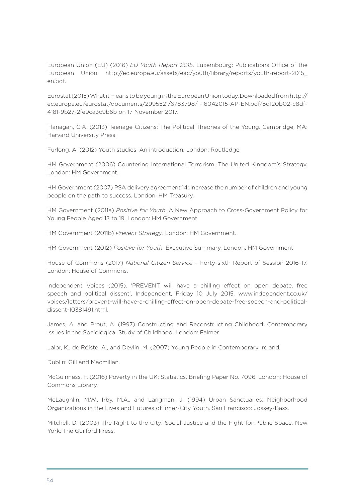European Union (EU) (2016) *EU Youth Report 2015*. Luxembourg: Publications Office of the European Union. http://ec.europa.eu/assets/eac/youth/library/reports/youth-report-2015\_ en.pdf.

Eurostat (2015) What it means to be young in the European Union today. Downloaded from http:// ec.europa.eu/eurostat/documents/2995521/6783798/1-16042015-AP-EN.pdf/5d120b02-c8df-4181-9b27-2fe9ca3c9b6b on 17 November 2017.

Flanagan, C.A. (2013) Teenage Citizens: The Political Theories of the Young. Cambridge, MA: Harvard University Press.

Furlong, A. (2012) Youth studies: An introduction. London: Routledge.

HM Government (2006) Countering International Terrorism: The United Kingdom's Strategy. London: HM Government.

HM Government (2007) PSA delivery agreement 14: Increase the number of children and young people on the path to success. London: HM Treasury.

HM Government (2011a) *Positive for Youth*: A New Approach to Cross-Government Policy for Young People Aged 13 to 19. London: HM Government.

HM Government (2011b) *Prevent Strategy*. London: HM Government.

HM Government (2012) *Positive for Youth*: Executive Summary. London: HM Government.

House of Commons (2017) *National Citizen Service* – Forty-sixth Report of Session 2016–17. London: House of Commons.

Independent Voices (2015). 'PREVENT will have a chilling effect on open debate, free speech and political dissent', Independent, Friday 10 July 2015. www.independent.co.uk/ voices/letters/prevent-will-have-a-chilling-effect-on-open-debate-free-speech-and-politicaldissent-10381491.html.

James, A. and Prout, A. (1997) Constructing and Reconstructing Childhood: Contemporary Issues in the Sociological Study of Childhood. London: Falmer.

Lalor, K., de Róiste, A., and Devlin, M. (2007) Young People in Contemporary Ireland.

Dublin: Gill and Macmillan.

McGuinness, F. (2016) Poverty in the UK: Statistics. Briefing Paper No. 7096. London: House of Commons Library.

McLaughlin, M.W., Irby, M.A., and Langman, J. (1994) Urban Sanctuaries: Neighborhood Organizations in the Lives and Futures of Inner-City Youth. San Francisco: Jossey-Bass.

Mitchell, D. (2003) The Right to the City: Social Justice and the Fight for Public Space. New York: The Guilford Press.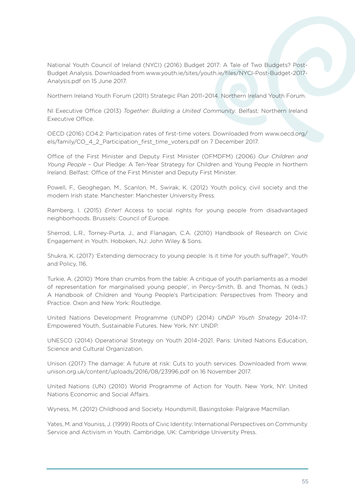National Youth Council of Ireland (NYCI) (2016) Budget 2017: A Tale of Two Budgets? Post-Budget Analysis. Downloaded from www.youth.ie/sites/youth.ie/files/NYCI-Post-Budget-2017- Analysis.pdf on 15 June 2017.

Northern Ireland Youth Forum (2011) Strategic Plan 2011–2014. Northern Ireland Youth Forum.

NI Executive Office (2013) *Together: Building a United Community*. Belfast: Northern Ireland Executive Office.

OECD (2016) CO4.2: Participation rates of first-time voters. Downloaded from www.oecd.org/ els/family/CO\_4\_2\_Participation\_first\_time\_voters.pdf on 7 December 2017.

Office of the First Minister and Deputy First Minister (OFMDFM) (2006) *Our Children and Young People* – Our Pledge: A Ten-Year Strategy for Children and Young People in Northern Ireland. Belfast: Office of the First Minister and Deputy First Minister.

Powell, F., Geoghegan, M., Scanlon, M., Swirak, K. (2012) Youth policy, civil society and the modern Irish state. Manchester: Manchester University Press.

Ramberg, I. (2015) *Enter!* Access to social rights for young people from disadvantaged neighborhoods. Brussels: Council of Europe.

Sherrod, L.R., Torney-Purta, J., and Flanagan, C.A. (2010) Handbook of Research on Civic Engagement in Youth. Hoboken, NJ: John Wiley & Sons.

Shukra, K. (2017) 'Extending democracy to young people: Is it time for youth suffrage?', Youth and Policy, 116.

Turkie, A. (2010) 'More than crumbs from the table: A critique of youth parliaments as a model of representation for marginalised young people', in Percy-Smith, B. and Thomas, N (eds.) A Handbook of Children and Young People's Participation: Perspectives from Theory and Practice. Oxon and New York: Routledge.

United Nations Development Programme (UNDP) (2014) *UNDP Youth Strategy* 2014–17: Empowered Youth, Sustainable Futures. New York, NY: UNDP.

UNESCO (2014) Operational Strategy on Youth 2014–2021. Paris: United Nations Education, Science and Cultural Organization.

Unison (2017) The damage: A future at risk: Cuts to youth services. Downloaded from www. unison.org.uk/content/uploads/2016/08/23996.pdf on 16 November 2017.

United Nations (UN) (2010) World Programme of Action for Youth. New York, NY: United Nations Economic and Social Affairs.

Wyness, M. (2012) Childhood and Society. Houndsmill, Basingstoke: Palgrave Macmillan.

Yates, M. and Youniss, J. (1999) Roots of Civic Identity: International Perspectives on Community Service and Activism in Youth. Cambridge, UK: Cambridge University Press.